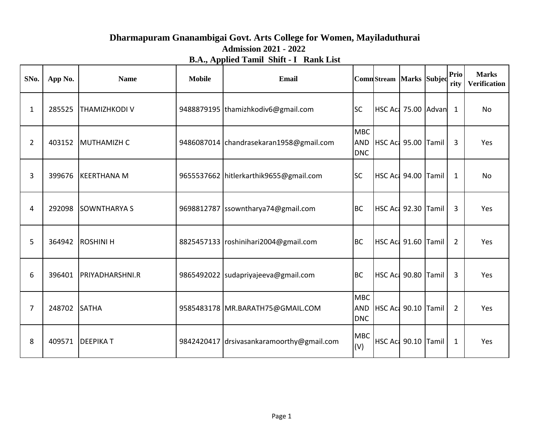## **Dharmapuram Gnanambigai Govt. Arts College for Women, Mayiladuthurai Admission 2021 - 2022 B.A., Applied Tamil Shift - I Rank List**

| SNo.           | App No. | <b>Name</b>            | <b>Mobile</b> | <b>Email</b>                              |                                 | <b>Comn</b> Stream Marks Subjec |  | Prio<br>rity   | <b>Marks</b><br><b>Verification</b> |
|----------------|---------|------------------------|---------------|-------------------------------------------|---------------------------------|---------------------------------|--|----------------|-------------------------------------|
| $\mathbf{1}$   | 285525  | <b>THAMIZHKODI V</b>   |               | 9488879195  thamizhkodiv6@gmail.com       | <b>SC</b>                       | HSC Act 75.00 Advan             |  | $\mathbf{1}$   | No                                  |
| $\overline{2}$ | 403152  | MUTHAMIZH C            |               | 9486087014 chandrasekaran1958@gmail.com   | <b>MBC</b><br><b>DNC</b>        | AND HSC Act 95.00 Tamil         |  | 3              | Yes                                 |
| 3              | 399676  | <b>KEERTHANA M</b>     |               | 9655537662 hitlerkarthik9655@gmail.com    | <b>SC</b>                       | <b>HSC Act 94.00 Tamil</b>      |  | 1              | No                                  |
| 4              | 292098  | <b>SOWNTHARYA S</b>    |               | 9698812787 ssowntharya74@gmail.com        | <b>BC</b>                       | HSC Aci 92.30 Tamil             |  | 3              | Yes                                 |
| 5              | 364942  | <b>ROSHINI H</b>       |               | 8825457133   roshinihari2004@gmail.com    | <b>BC</b>                       | HSC Aci 91.60 Tamil             |  | $\overline{2}$ | Yes                                 |
| 6              | 396401  | <b>PRIYADHARSHNI.R</b> |               | 9865492022   sudapriyajeeva@gmail.com     | <b>BC</b>                       | HSC Aci 90.80 Tamil             |  | 3              | Yes                                 |
| 7              | 248702  | <b>SATHA</b>           |               | 9585483178 MR.BARATH75@GMAIL.COM          | <b>MBC</b><br>AND<br><b>DNC</b> | HSC Aci 90.10 Tamil             |  | $\overline{2}$ | Yes                                 |
| 8              | 409571  | <b>DEEPIKAT</b>        |               | 9842420417 drsivasankaramoorthy@gmail.com | <b>MBC</b><br>(V)               | HSC Aci 90.10 Tamil             |  | $\mathbf{1}$   | Yes                                 |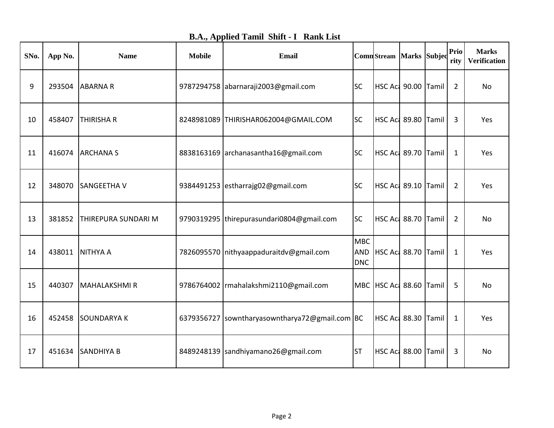|  |  |  |  | <b>B.A., Applied Tamil Shift - I Rank List</b> |
|--|--|--|--|------------------------------------------------|
|--|--|--|--|------------------------------------------------|

| SNo. | App No. | <b>Name</b>                | <b>Mobile</b> | <b>Email</b>                                   |                          | ComnStream Marks Subjec |  | Prio<br>rity   | <b>Marks</b><br><b>Verification</b> |
|------|---------|----------------------------|---------------|------------------------------------------------|--------------------------|-------------------------|--|----------------|-------------------------------------|
| 9    | 293504  | <b>ABARNAR</b>             |               | 9787294758 abarnaraji2003@gmail.com            | <b>SC</b>                | HSC Ac 90.00 Tamil      |  | $\overline{2}$ | No                                  |
| 10   | 458407  | THIRISHA R                 |               | 8248981089 THIRISHAR062004@GMAIL.COM           | <b>SC</b>                | HSC Aci 89.80 Tamil     |  | 3              | Yes                                 |
| 11   | 416074  | <b>ARCHANAS</b>            |               | 8838163169 archanasantha16@gmail.com           | <b>SC</b>                | HSC Act 89.70 Tamil     |  | $\mathbf{1}$   | Yes                                 |
| 12   | 348070  | SANGEETHA V                |               | 9384491253 estharrajg02@gmail.com              | <b>SC</b>                | HSC Act 89.10 Tamil     |  | $\overline{2}$ | Yes                                 |
| 13   | 381852  | <b>THIREPURA SUNDARI M</b> |               | 9790319295  thirepurasundari0804@gmail.com     | <b>SC</b>                | HSC Aci 88.70 Tamil     |  | 2              | No                                  |
| 14   | 438011  | <b>NITHYA A</b>            |               | 7826095570 nithyaappaduraitdv@gmail.com        | <b>MBC</b><br><b>DNC</b> | AND HSC Act 88.70 Tamil |  | $\mathbf 1$    | Yes                                 |
| 15   | 440307  | MAHALAKSHMI R              |               | 9786764002   rmahalakshmi 2110@gmail.com       |                          | MBC HSC Ac 88.60 Tamil  |  | 5              | No                                  |
| 16   | 452458  | <b>SOUNDARYAK</b>          |               | 6379356727 sowntharyasowntharya72@gmail.com BC |                          | HSC Aci 88.30 Tamil     |  | $\mathbf{1}$   | Yes                                 |
| 17   | 451634  | <b>SANDHIYA B</b>          |               | 8489248139 sandhiyamano26@gmail.com            | <b>ST</b>                | HSC Act 88.00 Tamil     |  | 3              | No                                  |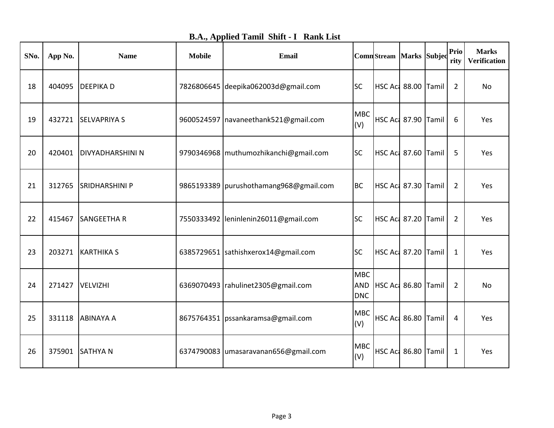|  |  |  |  | <b>B.A., Applied Tamil Shift - I Rank List</b> |
|--|--|--|--|------------------------------------------------|
|--|--|--|--|------------------------------------------------|

| SNo. | App No. | <b>Name</b>             | <b>Mobile</b> | Email                                    |                          | ComnStream Marks Subjec |                            | Prio<br>rity   | <b>Marks</b><br><b>Verification</b> |
|------|---------|-------------------------|---------------|------------------------------------------|--------------------------|-------------------------|----------------------------|----------------|-------------------------------------|
| 18   | 404095  | <b>DEEPIKAD</b>         |               | 7826806645 deepika062003d@gmail.com      | <b>SC</b>                | HSC Ac 88.00 Tamil      |                            | $\overline{2}$ | <b>No</b>                           |
| 19   | 432721  | <b>SELVAPRIYA S</b>     |               | 9600524597   navaneethank521@gmail.com   | <b>MBC</b><br>(V)        | HSC Act 87.90 Tamil     |                            | 6              | Yes                                 |
| 20   | 420401  | <b>DIVYADHARSHINI N</b> |               | 9790346968   muthumozhikanchi@gmail.com  | <b>SC</b>                | HSC Aci 87.60 Tamil     |                            | 5              | Yes                                 |
| 21   | 312765  | <b>SRIDHARSHINI P</b>   |               | 9865193389   purushothamang968@gmail.com | <b>BC</b>                | HSC Act 87.30 Tamil     |                            | 2              | Yes                                 |
| 22   | 415467  | <b>SANGEETHAR</b>       |               | 7550333492   leninlenin 26011@gmail.com  | <b>SC</b>                | HSC Aci 87.20 Tamil     |                            | 2              | Yes                                 |
| 23   | 203271  | <b>KARTHIKA S</b>       |               | 6385729651 sathishxerox14@gmail.com      | <b>SC</b>                | HSC Act 87.20 Tamil     |                            | $\mathbf 1$    | Yes                                 |
| 24   | 271427  | VELVIZHI                |               | 6369070493   rahulinet 2305@gmail.com    | <b>MBC</b><br><b>DNC</b> | AND HSC Act 86.80 Tamil |                            | $\overline{2}$ | No                                  |
| 25   | 331118  | <b>ABINAYA A</b>        |               | 8675764351   pssankaramsa@gmail.com      | <b>MBC</b><br>(V)        | HSC Act 86.80 Tamil     |                            | 4              | Yes                                 |
| 26   | 375901  | <b>SATHYAN</b>          |               | 6374790083 umasaravanan656@gmail.com     | <b>MBC</b><br>(V)        |                         | <b>HSC Aci 86.80 Tamil</b> | 1              | Yes                                 |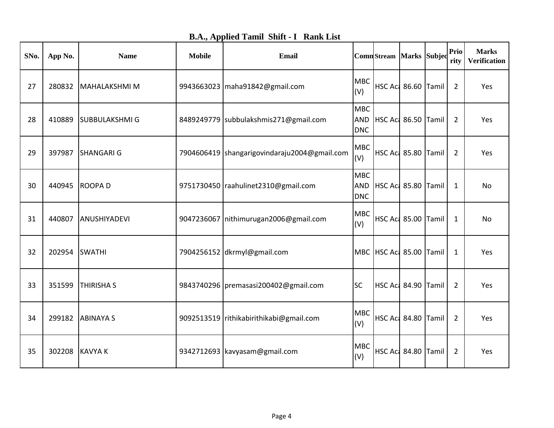| SNo. | App No. | <b>Name</b>          | <b>Mobile</b> | <b>Email</b>                                   |                          | ComnStream Marks Subjec    |  | Prio<br>rity   | <b>Marks</b><br><b>Verification</b> |
|------|---------|----------------------|---------------|------------------------------------------------|--------------------------|----------------------------|--|----------------|-------------------------------------|
| 27   | 280832  | MAHALAKSHMI M        |               | 9943663023   maha91842@gmail.com               | <b>MBC</b><br>(V)        | HSC Act 86.60 Tamil        |  | $\overline{2}$ | Yes                                 |
| 28   | 410889  | <b>SUBBULAKSHMIG</b> |               | 8489249779 subbulakshmis271@gmail.com          | <b>MBC</b><br><b>DNC</b> | AND   HSC Ac 86.50   Tamil |  | 2              | Yes                                 |
| 29   | 397987  | <b>SHANGARI G</b>    |               | 7904606419   shangarigovindaraju2004@gmail.com | <b>MBC</b><br>(V)        | HSC Act 85.80 Tamil        |  | $\overline{2}$ | Yes                                 |
| 30   | 440945  | <b>ROOPAD</b>        |               | 9751730450 raahulinet2310@gmail.com            | <b>MBC</b><br><b>DNC</b> | AND HSC Act 85.80 Tamil    |  | $\mathbf{1}$   | No                                  |
| 31   | 440807  | ANUSHIYADEVI         |               | 9047236067 nithimurugan2006@gmail.com          | <b>MBC</b><br>(V)        | HSC Act 85.00 Tamil        |  | 1              | No                                  |
| 32   | 202954  | <b>SWATHI</b>        |               | 7904256152 dkrmyl@gmail.com                    |                          | MBC HSC Act 85.00 Tamil    |  | 1              | Yes                                 |
| 33   | 351599  | <b>THIRISHA S</b>    |               | 9843740296   premasasi 200402@gmail.com        | <b>SC</b>                | HSC Act 84.90 Tamil        |  | 2              | Yes                                 |
| 34   | 299182  | <b>ABINAYA S</b>     |               | 9092513519 rithikabirithikabi@gmail.com        | <b>MBC</b><br>(V)        | HSC Aci 84.80 Tamil        |  | $\overline{2}$ | Yes                                 |
| 35   | 302208  | <b>KAVYA K</b>       |               | 9342712693 kavyasam@gmail.com                  | <b>MBC</b><br>(V)        | <b>HSC Ac: 84.80 Tamil</b> |  | $\overline{2}$ | Yes                                 |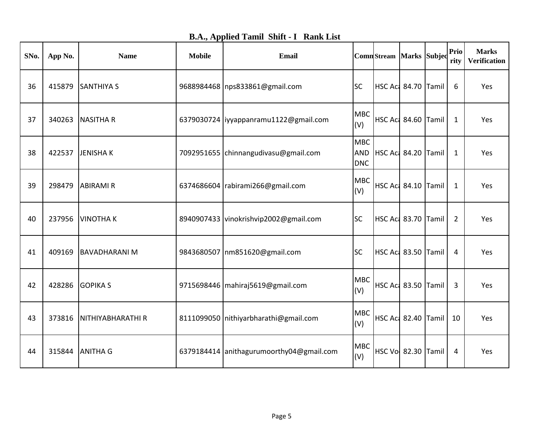| <b>B.A., Applied Tamil Shift - I Rank List</b> |  |  |  |  |  |
|------------------------------------------------|--|--|--|--|--|
|------------------------------------------------|--|--|--|--|--|

| SNo. | App No. | <b>Name</b>         | <b>Mobile</b> | Email                                    |                                        | ComnStream Marks Subjec    |  | Prio<br>rity   | <b>Marks</b><br><b>Verification</b> |
|------|---------|---------------------|---------------|------------------------------------------|----------------------------------------|----------------------------|--|----------------|-------------------------------------|
| 36   | 415879  | <b>SANTHIYA S</b>   |               | 9688984468   nps833861@gmail.com         | <b>SC</b>                              | HSC Ac 84.70 Tamil         |  | 6              | Yes                                 |
| 37   | 340263  | <b>NASITHAR</b>     |               | 6379030724 liyyappanramu1122@gmail.com   | <b>MBC</b><br>(V)                      | HSC Act 84.60 Tamil        |  | $\mathbf{1}$   | Yes                                 |
| 38   | 422537  | <b>JENISHAK</b>     |               | 7092951655 chinnangudivasu@gmail.com     | <b>MBC</b><br><b>AND</b><br><b>DNC</b> | HSC Aci 84.20 Tamil        |  | 1              | Yes                                 |
| 39   | 298479  | <b>ABIRAMIR</b>     |               | 6374686604   rabirami266@gmail.com       | <b>MBC</b><br>(V)                      | HSC Act 84.10 Tamil        |  | $\mathbf{1}$   | Yes                                 |
| 40   | 237956  | <b>VINOTHAK</b>     |               | 8940907433 vinokrishvip2002@gmail.com    | <b>SC</b>                              | HSC Ac 83.70 Tamil         |  | $\overline{2}$ | Yes                                 |
| 41   | 409169  | <b>BAVADHARANIM</b> |               | 9843680507   nm851620@gmail.com          | <b>SC</b>                              | <b>HSC Act 83.50 Tamil</b> |  | 4              | Yes                                 |
| 42   | 428286  | <b>GOPIKA S</b>     |               | 9715698446   mahiraj 5619@gmail.com      | <b>MBC</b><br>(V)                      | HSC Act 83.50 Tamil        |  | 3              | Yes                                 |
| 43   | 373816  | NITHIYABHARATHI R   |               | 8111099050 nithiyarbharathi@gmail.com    | <b>MBC</b><br>(V)                      | <b>HSC Act 82.40 Tamil</b> |  | 10             | Yes                                 |
| 44   | 315844  | <b>ANITHA G</b>     |               | 6379184414 anithagurumoorthy04@gmail.com | <b>MBC</b><br>(V)                      | <b>HSC Vol 82.30 Tamil</b> |  | 4              | Yes                                 |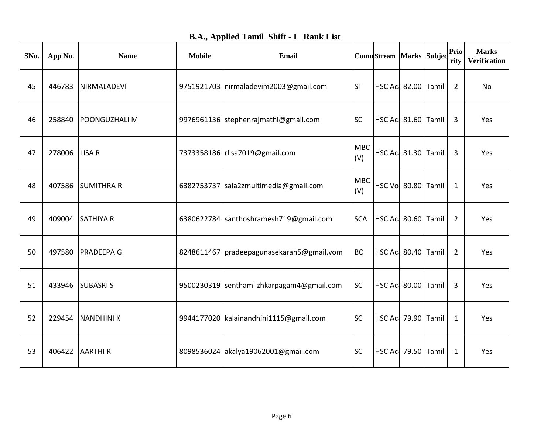|  |  |  |  | <b>B.A., Applied Tamil Shift - I Rank List</b> |
|--|--|--|--|------------------------------------------------|
|--|--|--|--|------------------------------------------------|

| SNo. | App No. | <b>Name</b>       | <b>Mobile</b> | <b>Email</b>                                |                   | <b>Comn</b> Stream Marks Subjed |  | Prio<br>rity   | <b>Marks</b><br><b>Verification</b> |
|------|---------|-------------------|---------------|---------------------------------------------|-------------------|---------------------------------|--|----------------|-------------------------------------|
| 45   | 446783  | NIRMALADEVI       |               | 9751921703   nirmaladevim2003@gmail.com     | <b>ST</b>         | HSC Aci 82.00 Tamil             |  | $\overline{2}$ | No                                  |
| 46   | 258840  | POONGUZHALI M     |               | 9976961136 stephenrajmathi@gmail.com        | <b>SC</b>         | HSC Act 81.60 Tamil             |  | 3              | Yes                                 |
| 47   | 278006  | LISA R            |               | 7373358186   rlisa7019@gmail.com            | <b>MBC</b><br>(V) | <b>HSC Act 81.30 Tamil</b>      |  | 3              | Yes                                 |
| 48   | 407586  | <b>SUMITHRA R</b> |               | 6382753737 saia2zmultimedia@gmail.com       | <b>MBC</b><br>(V) | HSC Vo 80.80 Tamil              |  | 1              | Yes                                 |
| 49   | 409004  | <b>SATHIYA R</b>  |               | 6380622784 santhoshramesh719@gmail.com      | <b>SCA</b>        | HSC Aci 80.60 Tamil             |  | 2              | Yes                                 |
| 50   | 497580  | <b>PRADEEPA G</b> |               | 8248611467   pradeepagunasekaran5@gmail.vom | <b>BC</b>         | HSC Act 80.40 Tamil             |  | 2              | Yes                                 |
| 51   | 433946  | <b>SUBASRIS</b>   |               | 9500230319 senthamilzhkarpagam4@gmail.com   | <b>SC</b>         | HSC Act 80.00 Tamil             |  | 3              | Yes                                 |
| 52   | 229454  | <b>NANDHINIK</b>  |               | 9944177020 kalainandhini1115@gmail.com      | <b>SC</b>         | HSC Act 79.90 Tamil             |  | $\mathbf{1}$   | Yes                                 |
| 53   | 406422  | <b>AARTHIR</b>    |               | 8098536024 akalya19062001@gmail.com         | <b>SC</b>         | HSC Act 79.50 Tamil             |  | $\mathbf{1}$   | Yes                                 |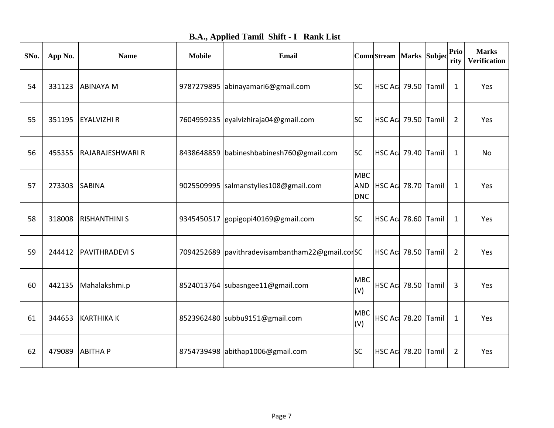| <b>B.A., Applied Tamil Shift - I Rank List</b> |  |
|------------------------------------------------|--|
|------------------------------------------------|--|

| SNo. | App No. | <b>Name</b>             | <b>Mobile</b> | Email                                           |                                        | ComnStream Marks Subjec    |  | Prio<br>rity   | <b>Marks</b><br><b>Verification</b> |
|------|---------|-------------------------|---------------|-------------------------------------------------|----------------------------------------|----------------------------|--|----------------|-------------------------------------|
| 54   | 331123  | <b>ABINAYA M</b>        |               | 9787279895 abinayamari6@gmail.com               | <b>SC</b>                              | HSC Aci 79.50 Tamil        |  | 1              | Yes                                 |
| 55   | 351195  | <b>EYALVIZHI R</b>      |               | 7604959235 eyalvizhiraja04@gmail.com            | <b>SC</b>                              | HSC Act 79.50 Tamil        |  | $\overline{2}$ | Yes                                 |
| 56   | 455355  | <b>RAJARAJESHWARI R</b> |               | 8438648859 babineshbabinesh760@gmail.com        | <b>SC</b>                              | <b>HSC Ac: 79.40 Tamil</b> |  | $\mathbf{1}$   | No                                  |
| 57   | 273303  | <b>SABINA</b>           |               | 9025509995 salmanstylies108@gmail.com           | <b>MBC</b><br><b>AND</b><br><b>DNC</b> | HSC Act 78.70 Tamil        |  | 1              | Yes                                 |
| 58   | 318008  | <b>RISHANTHINI S</b>    |               | 9345450517 gopigopi40169@gmail.com              | <b>SC</b>                              | HSC Act 78.60 Tamil        |  | $\mathbf{1}$   | Yes                                 |
| 59   | 244412  | <b>PAVITHRADEVI S</b>   |               | 7094252689   pavithradevisambantham22@gmail.com |                                        | HSC Act 78.50 Tamil        |  | $\overline{2}$ | Yes                                 |
| 60   | 442135  | Mahalakshmi.p           |               | 8524013764 subasngee11@gmail.com                | <b>MBC</b><br>(V)                      | HSC Act 78.50 Tamil        |  | 3              | Yes                                 |
| 61   | 344653  | <b>KARTHIKA K</b>       |               | 8523962480 subbu9151@gmail.com                  | <b>MBC</b><br>(V)                      | <b>HSC Act 78.20 Tamil</b> |  | $\mathbf{1}$   | Yes                                 |
| 62   | 479089  | <b>ABITHAP</b>          |               | 8754739498 abithap1006@gmail.com                | <b>SC</b>                              | HSC Act 78.20 Tamil        |  | $\overline{2}$ | Yes                                 |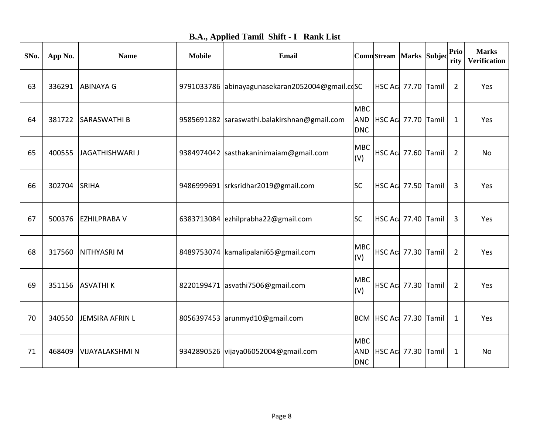| <b>B.A., Applied Tamil Shift - I Rank List</b> |  |  |
|------------------------------------------------|--|--|
|------------------------------------------------|--|--|

| SNo. | App No. | <b>Name</b>            | <b>Mobile</b> | <b>Email</b>                                    |                                        | ComnStream Marks Subjec    |  | Prio<br>rity   | <b>Marks</b><br><b>Verification</b> |
|------|---------|------------------------|---------------|-------------------------------------------------|----------------------------------------|----------------------------|--|----------------|-------------------------------------|
| 63   | 336291  | <b>ABINAYA G</b>       |               | 9791033786 abinayagunasekaran2052004@gmail.cdSC |                                        | HSC Act 77.70 Tamil        |  | $\overline{2}$ | Yes                                 |
| 64   | 381722  | <b>SARASWATHI B</b>    |               | 9585691282   saraswathi.balakirshnan@gmail.com  | <b>MBC</b><br><b>AND</b><br><b>DNC</b> | HSC Aci 77.70 Tamil        |  | 1              | Yes                                 |
| 65   | 400555  | <b>JAGATHISHWARI J</b> |               | 9384974042 sasthakaninimaiam@gmail.com          | <b>MBC</b><br>(V)                      | <b>HSC Ac: 77.60 Tamil</b> |  | $\overline{2}$ | No                                  |
| 66   | 302704  | SRIHA                  |               | 9486999691 srksridhar2019@gmail.com             | <b>SC</b>                              | HSC Act 77.50 Tamil        |  | 3              | Yes                                 |
| 67   | 500376  | <b>EZHILPRABA V</b>    |               | 6383713084 ezhilprabha22@gmail.com              | <b>SC</b>                              | HSC Aci 77.40 Tamil        |  | 3              | Yes                                 |
| 68   | 317560  | NITHYASRI M            |               | 8489753074   kamalipalani65@gmail.com           | <b>MBC</b><br>(V)                      | HSC Aci 77.30 Tamil        |  | $\overline{2}$ | Yes                                 |
| 69   | 351156  | <b>ASVATHIK</b>        |               | 8220199471 asvathi7506@gmail.com                | <b>MBC</b><br>(V)                      | <b>HSC Act 77.30 Tamil</b> |  | $\overline{2}$ | Yes                                 |
| 70   | 340550  | JEMSIRA AFRIN L        |               | 8056397453 arunmyd10@gmail.com                  |                                        | BCM HSC Ac 77.30 Tamil     |  | 1              | Yes                                 |
| 71   | 468409  | <b>VIJAYALAKSHMI N</b> |               | 9342890526 vijaya06052004@gmail.com             | <b>MBC</b><br><b>AND</b><br><b>DNC</b> | HSC Aci 77.30 Tamil        |  | 1              | <b>No</b>                           |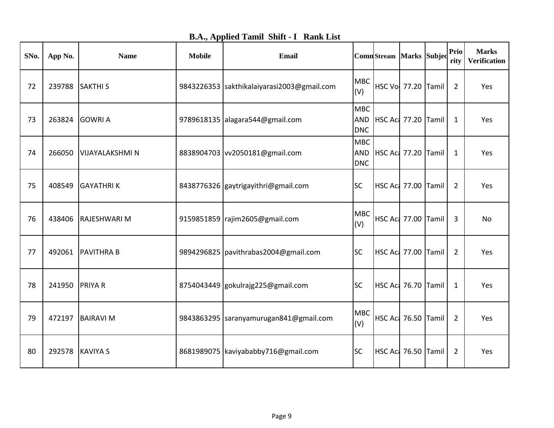| SNo. | App No. | <b>Name</b>            | <b>Mobile</b> | <b>Email</b>                               |                          | ComnStream Marks Subjec    |  | Prio<br>rity   | <b>Marks</b><br><b>Verification</b> |
|------|---------|------------------------|---------------|--------------------------------------------|--------------------------|----------------------------|--|----------------|-------------------------------------|
| 72   | 239788  | <b>SAKTHIS</b>         |               | 9843226353 sakthikalaiyarasi2003@gmail.com | <b>MBC</b><br>(V)        | HSC Vo 77.20 Tamil         |  | $\overline{2}$ | Yes                                 |
| 73   | 263824  | <b>GOWRI A</b>         |               | 9789618135 alagara544@gmail.com            | <b>MBC</b><br><b>DNC</b> | AND HSC Ac 77.20 Tamil     |  | 1              | Yes                                 |
| 74   | 266050  | <b>VIJAYALAKSHMI N</b> |               | 8838904703   vv2050181@gmail.com           | <b>MBC</b><br><b>DNC</b> | AND   HSC Ac 77.20   Tamil |  | 1              | Yes                                 |
| 75   | 408549  | <b>GAYATHRIK</b>       |               | 8438776326 gaytrigayithri@gmail.com        | <b>SC</b>                | HSC Act 77.00 Tamil        |  | $\overline{2}$ | Yes                                 |
| 76   | 438406  | <b>RAJESHWARI M</b>    |               | 9159851859   rajim2605@gmail.com           | <b>MBC</b><br>(V)        | HSC Act 77.00 Tamil        |  | 3              | No                                  |
| 77   | 492061  | <b>PAVITHRA B</b>      |               | 9894296825   pavithrabas 2004@gmail.com    | <b>SC</b>                | HSC Act 77.00 Tamil        |  | 2              | Yes                                 |
| 78   | 241950  | <b>PRIYAR</b>          |               | 8754043449 gokulrajg225@gmail.com          | <b>SC</b>                | HSC Aci 76.70 Tamil        |  | 1              | Yes                                 |
| 79   | 472197  | <b>BAIRAVI M</b>       |               | 9843863295  saranyamurugan841@gmail.com    | <b>MBC</b><br>(V)        | HSC Act 76.50 Tamil        |  | $\overline{2}$ | Yes                                 |
| 80   | 292578  | <b>KAVIYA S</b>        |               | 8681989075 kaviyababby716@gmail.com        | <b>SC</b>                | HSC Act 76.50 Tamil        |  | 2              | Yes                                 |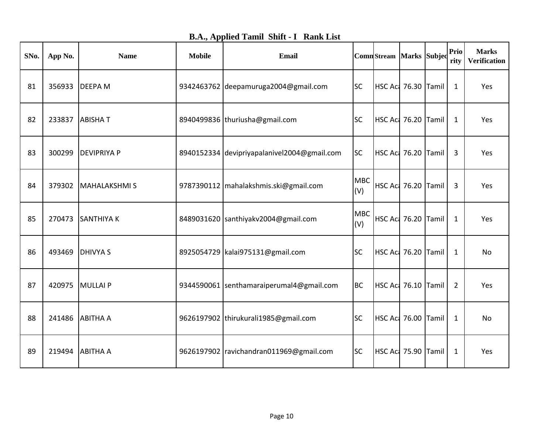|  |  |  |  | <b>B.A., Applied Tamil Shift - I Rank List</b> |
|--|--|--|--|------------------------------------------------|
|--|--|--|--|------------------------------------------------|

| SNo. | App No. | <b>Name</b>         | <b>Mobile</b> | <b>Email</b>                                |                   | ComnStream Marks Subjec |  | Prio<br>rity   | <b>Marks</b><br>Verification |
|------|---------|---------------------|---------------|---------------------------------------------|-------------------|-------------------------|--|----------------|------------------------------|
| 81   | 356933  | <b>DEEPAM</b>       |               | 9342463762 deepamuruga2004@gmail.com        | <b>SC</b>         | HSC Act 76.30 Tamil     |  | $\mathbf{1}$   | Yes                          |
| 82   | 233837  | <b>ABISHAT</b>      |               | 8940499836 thuriusha@gmail.com              | <b>SC</b>         | HSC Act 76.20 Tamil     |  | 1              | Yes                          |
| 83   | 300299  | <b>DEVIPRIYA P</b>  |               | 8940152334 devipriyapalanivel2004@gmail.com | <b>SC</b>         | HSC Act 76.20 Tamil     |  | 3              | Yes                          |
| 84   | 379302  | <b>MAHALAKSHMIS</b> |               | 9787390112   mahalakshmis.ski@gmail.com     | <b>MBC</b><br>(V) | HSC Act 76.20 Tamil     |  | $\overline{3}$ | Yes                          |
| 85   | 270473  | <b>SANTHIYA K</b>   |               | 8489031620 santhiyakv2004@gmail.com         | <b>MBC</b><br>(V) | HSC Act 76.20 Tamil     |  | 1              | Yes                          |
| 86   | 493469  | <b>DHIVYAS</b>      |               | 8925054729 kalai975131@gmail.com            | <b>SC</b>         | HSC Act 76.20 Tamil     |  | 1              | No                           |
| 87   | 420975  | MULLAI P            |               | 9344590061 senthamaraiperumal4@gmail.com    | <b>BC</b>         | HSC Act 76.10 Tamil     |  | 2              | Yes                          |
| 88   | 241486  | <b>ABITHA A</b>     |               | 9626197902  thirukurali1985@gmail.com       | <b>SC</b>         | HSC Act 76.00 Tamil     |  | $\mathbf{1}$   | No                           |
| 89   | 219494  | <b>ABITHA A</b>     |               | 9626197902   ravichandran011969@gmail.com   | <b>SC</b>         | HSC Act 75.90 Tamil     |  | 1              | Yes                          |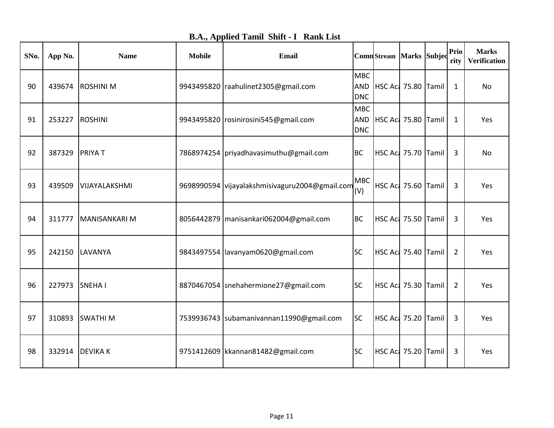| <b>B.A., Applied Tamil Shift - I Rank List</b> |  |  |
|------------------------------------------------|--|--|
|------------------------------------------------|--|--|

| SNo. | App No. | <b>Name</b>     | <b>Mobile</b> | <b>Email</b>                                   |                                        | ComnStream   Marks   Subjed |  | Prio<br>rity   | <b>Marks</b><br><b>Verification</b> |
|------|---------|-----------------|---------------|------------------------------------------------|----------------------------------------|-----------------------------|--|----------------|-------------------------------------|
| 90   | 439674  | <b>ROSHINIM</b> |               | 9943495820   raahulinet 2305@gmail.com         | <b>MBC</b><br><b>AND</b><br><b>DNC</b> | HSC Aci 75.80 Tamil         |  | $\mathbf{1}$   | No                                  |
| 91   | 253227  | <b>ROSHINI</b>  |               | 9943495820 rosinirosini545@gmail.com           | <b>MBC</b><br><b>DNC</b>               | AND   HSC Ac 75.80   Tamil  |  | $\mathbf{1}$   | Yes                                 |
| 92   | 387329  | <b>PRIYAT</b>   |               | 7868974254 priyadhavasimuthu@gmail.com         | <b>BC</b>                              | HSC Act 75.70 Tamil         |  | 3              | No                                  |
| 93   | 439509  | VIJAYALAKSHMI   |               | 9698990594 vijayalakshmisivaguru2004@gmail.com | <b>MBC</b><br>(V)                      | HSC Act 75.60 Tamil         |  | 3              | Yes                                 |
| 94   | 311777  | MANISANKARI M   |               | 8056442879   manisankari062004@gmail.com       | <b>BC</b>                              | HSC Ac 75.50 Tamil          |  | 3              | Yes                                 |
| 95   | 242150  | <b>LAVANYA</b>  |               | 9843497554  lavanyam0620@gmail.com             | <b>SC</b>                              | HSC Act 75.40 Tamil         |  | $\overline{2}$ | Yes                                 |
| 96   | 227973  | <b>SNEHAI</b>   |               | 8870467054 snehahermione27@gmail.com           | <b>SC</b>                              | HSC Ac 75.30 Tamil          |  | $\overline{2}$ | Yes                                 |
| 97   | 310893  | <b>SWATHIM</b>  |               | 7539936743   subamanivannan11990@gmail.com     | <b>SC</b>                              | HSC Act 75.20 Tamil         |  | 3              | Yes                                 |
| 98   | 332914  | <b>DEVIKAK</b>  |               | 9751412609   kkannan 81482@gmail.com           | <b>SC</b>                              | HSC Act 75.20 Tamil         |  | 3              | Yes                                 |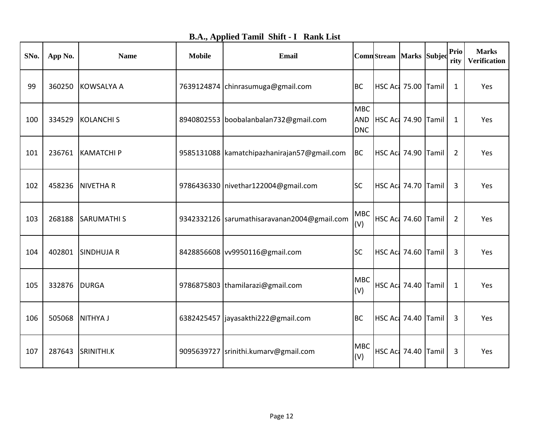| <b>B.A., Applied Tamil Shift - I Rank List</b> |  |  |
|------------------------------------------------|--|--|
|------------------------------------------------|--|--|

| SNo. | App No. | <b>Name</b>       | <b>Mobile</b> | Email                                         |                          | ComnStream Marks Subjec    |                            | <b>Prio</b><br>rity | <b>Marks</b><br><b>Verification</b> |
|------|---------|-------------------|---------------|-----------------------------------------------|--------------------------|----------------------------|----------------------------|---------------------|-------------------------------------|
| 99   | 360250  | KOWSALYA A        |               | 7639124874 chinrasumuga@gmail.com             | <b>BC</b>                | HSC Aci 75.00 Tamil        |                            | $\mathbf{1}$        | Yes                                 |
| 100  | 334529  | KOLANCHI S        |               | 8940802553 boobalanbalan732@gmail.com         | <b>MBC</b><br><b>DNC</b> | AND   HSC Ac 74.90   Tamil |                            | 1                   | Yes                                 |
| 101  | 236761  | <b>KAMATCHI P</b> |               | 9585131088   kamatchipazhanirajan57@gmail.com | BC                       | HSC Act 74.90 Tamil        |                            | 2                   | Yes                                 |
| 102  | 458236  | <b>NIVETHAR</b>   |               | 9786436330 nivethar122004@gmail.com           | <b>SC</b>                | HSC Act 74.70 Tamil        |                            | 3                   | Yes                                 |
| 103  | 268188  | <b>SARUMATHIS</b> |               | 9342332126   sarumathisaravanan2004@gmail.com | <b>MBC</b><br>(V)        | HSC Act 74.60 Tamil        |                            | 2                   | Yes                                 |
| 104  | 402801  | <b>SINDHUJA R</b> |               | 8428856608 vv9950116@gmail.com                | <b>SC</b>                | HSC Aci 74.60 Tamil        |                            | 3                   | Yes                                 |
| 105  | 332876  | <b>DURGA</b>      |               | 9786875803 thamilarazi@gmail.com              | <b>MBC</b><br>(V)        | HSC Act 74.40 Tamil        |                            | $\mathbf{1}$        | Yes                                 |
| 106  | 505068  | <b>NITHYA J</b>   |               | 6382425457 jayasakthi222@gmail.com            | <b>BC</b>                | HSC Aci 74.40 Tamil        |                            | 3                   | Yes                                 |
| 107  | 287643  | SRINITHI.K        |               | 9095639727  srinithi.kumarv@gmail.com         | <b>MBC</b><br>(V)        |                            | <b>HSC Act 74.40 Tamil</b> | 3                   | Yes                                 |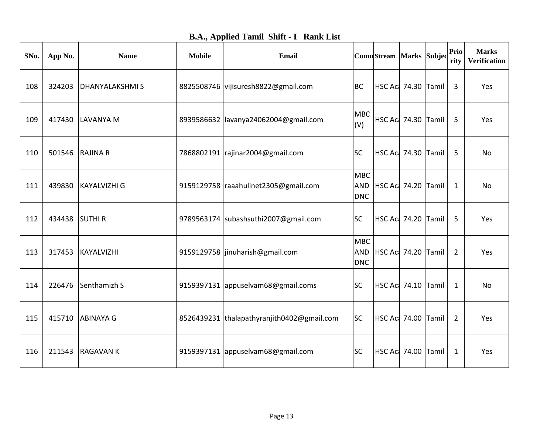| <b>B.A., Applied Tamil Shift - I Rank List</b> |  |
|------------------------------------------------|--|
|------------------------------------------------|--|

| SNo. | App No. | <b>Name</b>           | <b>Mobile</b> | <b>Email</b>                               |                                        | ComnStream Marks Subjec    |  | Prio<br>rity   | <b>Marks</b><br><b>Verification</b> |
|------|---------|-----------------------|---------------|--------------------------------------------|----------------------------------------|----------------------------|--|----------------|-------------------------------------|
| 108  | 324203  | <b>DHANYALAKSHMIS</b> |               | 8825508746 vijisuresh8822@gmail.com        | <b>BC</b>                              | HSC Aci 74.30 Tamil        |  | 3              | Yes                                 |
| 109  | 417430  | LAVANYA M             |               | 8939586632  lavanya24062004@gmail.com      | <b>MBC</b><br>(V)                      | HSC Act 74.30 Tamil        |  | 5              | Yes                                 |
| 110  | 501546  | <b>RAJINA R</b>       |               | 7868802191   rajinar2004@gmail.com         | <b>SC</b>                              | <b>HSC Ac: 74.30 Tamil</b> |  | 5              | No                                  |
| 111  | 439830  | <b>KAYALVIZHI G</b>   |               | 9159129758   raaahulinet 2305@gmail.com    | <b>MBC</b><br><b>AND</b><br><b>DNC</b> | HSC Act 74.20 Tamil        |  | 1              | No                                  |
| 112  | 434438  | <b>SUTHIR</b>         |               | 9789563174 subashsuthi2007@gmail.com       | <b>SC</b>                              | HSC Aci 74.20 Tamil        |  | 5              | Yes                                 |
| 113  | 317453  | KAYALVIZHI            |               | 9159129758   jinuharish@gmail.com          | <b>MBC</b><br><b>AND</b><br><b>DNC</b> | HSC Act 74.20 Tamil        |  | 2              | Yes                                 |
| 114  | 226476  | Senthamizh S          |               | 9159397131 appuselvam68@gmail.coms         | <b>SC</b>                              | HSC Act 74.10 Tamil        |  | 1              | No                                  |
| 115  | 415710  | <b>ABINAYA G</b>      |               | 8526439231 thalapathyranjith0402@gmail.com | <b>SC</b>                              | HSC Aci 74.00 Tamil        |  | $\overline{2}$ | Yes                                 |
| 116  | 211543  | <b>RAGAVANK</b>       |               | 9159397131 appuselvam68@gmail.com          | <b>SC</b>                              | HSC Act 74.00 Tamil        |  | $\mathbf{1}$   | Yes                                 |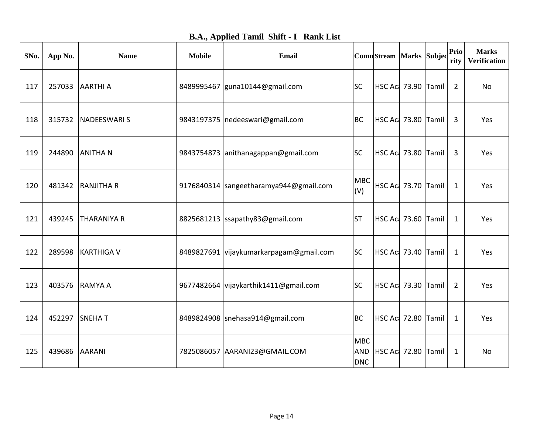| SNo. | App No. | <b>Name</b>        | <b>Mobile</b> | Email                                   |                                        | ComnStream Marks Subjec    |  | Prio<br>rity   | <b>Marks</b><br><b>Verification</b> |
|------|---------|--------------------|---------------|-----------------------------------------|----------------------------------------|----------------------------|--|----------------|-------------------------------------|
| 117  | 257033  | <b>AARTHI A</b>    |               | 8489995467 guna10144@gmail.com          | <b>SC</b>                              | HSC Ac 73.90 Tamil         |  | $\overline{2}$ | No                                  |
| 118  | 315732  | NADEESWARI S       |               | 9843197375   nedeeswari@gmail.com       | <b>BC</b>                              | HSC Act 73.80 Tamil        |  | 3              | Yes                                 |
| 119  | 244890  | <b>ANITHAN</b>     |               | 9843754873 anithanagappan@gmail.com     | <b>SC</b>                              | HSC Act 73.80 Tamil        |  | 3              | Yes                                 |
| 120  | 481342  | <b>RANJITHA R</b>  |               | 9176840314 sangeetharamya944@gmail.com  | <b>MBC</b><br>(V)                      | HSC Act 73.70 Tamil        |  | $\mathbf{1}$   | Yes                                 |
| 121  | 439245  | <b>THARANIYA R</b> |               | 8825681213 ssapathy83@gmail.com         | <b>ST</b>                              | HSC Aci 73.60 Tamil        |  | $\mathbf{1}$   | Yes                                 |
| 122  | 289598  | <b>KARTHIGA V</b>  |               | 8489827691 vijaykumarkarpagam@gmail.com | <b>SC</b>                              | <b>HSC Act 73.40 Tamil</b> |  | $\mathbf{1}$   | Yes                                 |
| 123  | 403576  | RAMYA A            |               | 9677482664 vijaykarthik1411@gmail.com   | <b>SC</b>                              | HSC Act 73.30 Tamil        |  | $\overline{2}$ | Yes                                 |
| 124  | 452297  | <b>SNEHAT</b>      |               | 8489824908 snehasa914@gmail.com         | <b>BC</b>                              | <b>HSC Ac: 72.80 Tamil</b> |  | $\mathbf{1}$   | Yes                                 |
| 125  | 439686  | <b>AARANI</b>      |               | 7825086057 AARANI23@GMAIL.COM           | <b>MBC</b><br><b>AND</b><br><b>DNC</b> | HSC Aci 72.80 Tamil        |  | $\mathbf{1}$   | No                                  |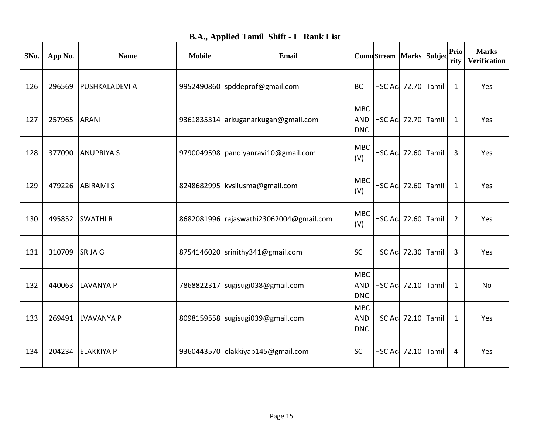|  |  |  |  |  | <b>B.A., Applied Tamil Shift - I Rank List</b> |
|--|--|--|--|--|------------------------------------------------|
|--|--|--|--|--|------------------------------------------------|

| SNo. | App No. | <b>Name</b>           | <b>Mobile</b> | Email                                   |                                        | ComnStream Marks Subjec    |  | Prio<br>rity   | <b>Marks</b><br><b>Verification</b> |
|------|---------|-----------------------|---------------|-----------------------------------------|----------------------------------------|----------------------------|--|----------------|-------------------------------------|
| 126  | 296569  | <b>PUSHKALADEVI A</b> |               | 9952490860 spddeprof@gmail.com          | <b>BC</b>                              | <b>HSC Act 72.70 Tamil</b> |  | 1              | Yes                                 |
| 127  | 257965  | <b>ARANI</b>          |               | 9361835314 arkuganarkugan@gmail.com     | <b>MBC</b><br><b>AND</b><br><b>DNC</b> | HSC Aci 72.70 Tamil        |  | $\mathbf{1}$   | Yes                                 |
| 128  | 377090  | <b>ANUPRIYA S</b>     |               | 9790049598   pandiyanravi10@gmail.com   | <b>MBC</b><br>(V)                      | HSC Act 72.60 Tamil        |  | 3              | Yes                                 |
| 129  | 479226  | <b>ABIRAMI S</b>      |               | 8248682995   kvsilusma@gmail.com        | <b>MBC</b><br>(V)                      | HSC Act 72.60 Tamil        |  | $\mathbf{1}$   | Yes                                 |
| 130  | 495852  | <b>SWATHIR</b>        |               | 8682081996 rajaswathi23062004@gmail.com | <b>MBC</b><br>(V)                      | HSC Aci 72.60 Tamil        |  | $\overline{2}$ | Yes                                 |
| 131  | 310709  | <b>SRIJA G</b>        |               | 8754146020 srinithy341@gmail.com        | <b>SC</b>                              | <b>HSC Act 72.30 Tamil</b> |  | 3              | Yes                                 |
| 132  | 440063  | <b>LAVANYA P</b>      |               | 7868822317   sugisugi038@gmail.com      | <b>MBC</b><br><b>AND</b><br><b>DNC</b> | HSC Aci 72.10 Tamil        |  | 1              | <b>No</b>                           |
| 133  | 269491  | LVAVANYA P            |               | 8098159558 sugisugi039@gmail.com        | <b>MBC</b><br><b>AND</b><br><b>DNC</b> | HSC Act 72.10 Tamil        |  | $\mathbf{1}$   | Yes                                 |
| 134  | 204234  | <b>ELAKKIYA P</b>     |               | 9360443570 elakkiyap145@gmail.com       | <b>SC</b>                              | HSC Act 72.10 Tamil        |  | 4              | Yes                                 |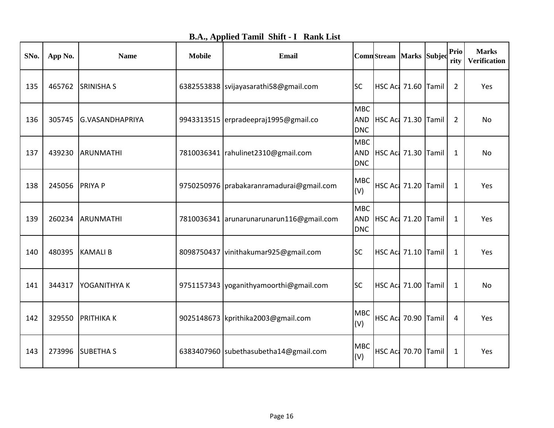| <b>B.A., Applied Tamil Shift - I Rank List</b> |  |  |
|------------------------------------------------|--|--|
|------------------------------------------------|--|--|

| SNo. | App No. | <b>Name</b>            | <b>Mobile</b> | Email                                      |                          | ComnStream Marks Subjed    |  | Prio<br>rity   | <b>Marks</b><br><b>Verification</b> |
|------|---------|------------------------|---------------|--------------------------------------------|--------------------------|----------------------------|--|----------------|-------------------------------------|
| 135  | 465762  | <b>SRINISHA S</b>      |               | 6382553838 svijayasarathi58@gmail.com      | <b>SC</b>                | HSC Act 71.60 Tamil        |  | $\overline{2}$ | Yes                                 |
| 136  | 305745  | <b>G.VASANDHAPRIYA</b> |               | 9943313515 erpradeepraj1995@gmail.co       | <b>MBC</b><br><b>DNC</b> | AND HSC Act 71.30 Tamil    |  | 2              | No                                  |
| 137  | 439230  | ARUNMATHI              |               | 7810036341   rahulinet 2310@gmail.com      | <b>MBC</b><br><b>DNC</b> | AND HSC Act 71.30 Tamil    |  | 1              | No                                  |
| 138  | 245056  | <b>PRIYA P</b>         |               | 9750250976   prabakaranramadurai@gmail.com | <b>MBC</b><br>(V)        | HSC Act 71.20 Tamil        |  | $\mathbf{1}$   | Yes                                 |
| 139  | 260234  | ARUNMATHI              |               | 7810036341 arunarunarunarun116@gmail.com   | <b>MBC</b><br><b>DNC</b> | AND HSC Act 71.20 Tamil    |  | 1              | Yes                                 |
| 140  | 480395  | <b>KAMALIB</b>         |               | 8098750437 vinithakumar925@gmail.com       | <b>SC</b>                | HSC Act 71.10 Tamil        |  | 1              | Yes                                 |
| 141  | 344317  | <b>YOGANITHYAK</b>     |               | 9751157343 yoganithyamoorthi@gmail.com     | <b>SC</b>                | HSC Act 71.00 Tamil        |  | 1              | No                                  |
| 142  | 329550  | <b>PRITHIKAK</b>       |               | 9025148673   kprithika 2003@gmail.com      | <b>MBC</b><br>(V)        | HSC Act 70.90 Tamil        |  | 4              | Yes                                 |
| 143  | 273996  | <b>SUBETHAS</b>        |               | 6383407960 subethasubetha14@gmail.com      | <b>MBC</b><br>(V)        | <b>HSC Ac: 70.70 Tamil</b> |  | 1              | Yes                                 |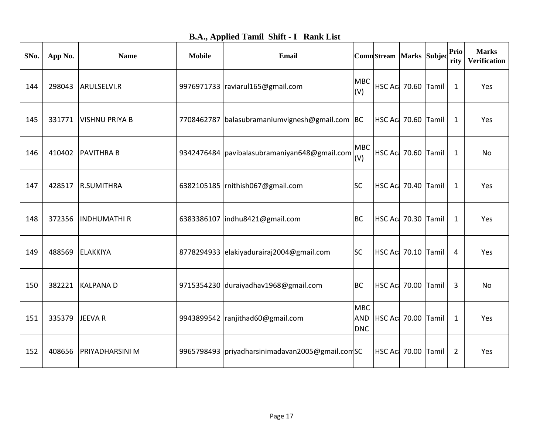| SNo. | App No. | <b>Name</b>            | <b>Mobile</b> | Email                                              |                                 | ComnStream   Marks Subjec  |  | Prio<br>rity | <b>Marks</b><br>Verification |
|------|---------|------------------------|---------------|----------------------------------------------------|---------------------------------|----------------------------|--|--------------|------------------------------|
| 144  | 298043  | ARULSELVI.R            |               | 9976971733   raviarul165@gmail.com                 | <b>MBC</b><br>(V)               | HSC Act 70.60 Tamil        |  | $\mathbf{1}$ | Yes                          |
| 145  | 331771  | <b>VISHNU PRIYA B</b>  |               | 7708462787 balasubramaniumvignesh@gmail.com BC     |                                 | HSC Act 70.60 Tamil        |  | 1            | Yes                          |
| 146  | 410402  | <b>PAVITHRA B</b>      |               | 9342476484   pavibalasubramaniyan648@gmail.com     | <b>MBC</b><br>(V)               | HSC Act 70.60 Tamil        |  | 1            | No                           |
| 147  | 428517  | <b>R.SUMITHRA</b>      |               | 6382105185   rnithish067@gmail.com                 | <b>SC</b>                       | <b>HSC Ac: 70.40 Tamil</b> |  | $\mathbf{1}$ | Yes                          |
| 148  | 372356  | <b>INDHUMATHIR</b>     |               | 6383386107   indhu8421@gmail.com                   | <b>BC</b>                       | HSC Aci 70.30 Tamil        |  | 1            | Yes                          |
| 149  | 488569  | <b>ELAKKIYA</b>        |               | 8778294933 elakiyadurairaj2004@gmail.com           | <b>SC</b>                       | HSC Aci 70.10 Tamil        |  | 4            | Yes                          |
| 150  | 382221  | <b>KALPANAD</b>        |               | 9715354230 duraiyadhav1968@gmail.com               | <b>BC</b>                       | HSC Act 70.00 Tamil        |  | 3            | No                           |
| 151  | 335379  | JEEVA R                |               | 9943899542   ranjithad60@gmail.com                 | <b>MBC</b><br>AND<br><b>DNC</b> | HSC Aci 70.00 Tamil        |  | $\mathbf{1}$ | Yes                          |
| 152  | 408656  | <b>PRIYADHARSINI M</b> |               | 9965798493   priyadharsinimadavan2005@gmail.com SC |                                 | HSC Act 70.00 Tamil        |  | 2            | Yes                          |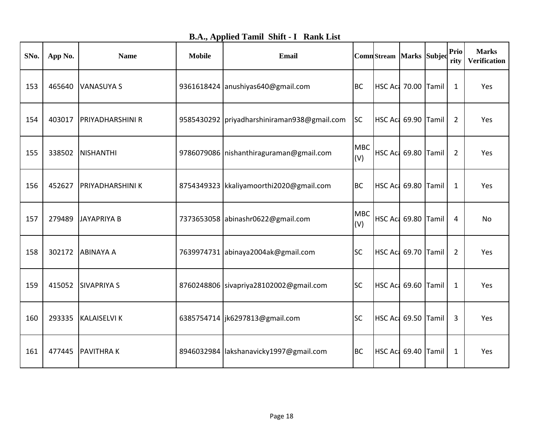|  |  |  |  | <b>B.A., Applied Tamil Shift - I Rank List</b> |
|--|--|--|--|------------------------------------------------|
|--|--|--|--|------------------------------------------------|

| SNo. | App No. | <b>Name</b>             | <b>Mobile</b> | Email                                       |                   | <b>Comn</b> Stream Marks Subjec |  | Prio<br>rity   | <b>Marks</b><br><b>Verification</b> |
|------|---------|-------------------------|---------------|---------------------------------------------|-------------------|---------------------------------|--|----------------|-------------------------------------|
| 153  | 465640  | <b>VANASUYA S</b>       |               | 9361618424 anushiyas640@gmail.com           | <b>BC</b>         | HSC Act 70.00 Tamil             |  | $\mathbf{1}$   | Yes                                 |
| 154  | 403017  | <b>PRIYADHARSHINI R</b> |               | 9585430292 priyadharshiniraman938@gmail.com | <b>SC</b>         | HSC Act 69.90 Tamil             |  | 2              | Yes                                 |
| 155  | 338502  | <b>NISHANTHI</b>        |               | 9786079086   nishanthiraguraman@gmail.com   | <b>MBC</b><br>(V) | HSC Act 69.80 Tamil             |  | $\overline{2}$ | Yes                                 |
| 156  | 452627  | <b>PRIYADHARSHINI K</b> |               | 8754349323   kkaliyamoorthi 2020@gmail.com  | <b>BC</b>         | HSC Act 69.80 Tamil             |  | $\mathbf{1}$   | Yes                                 |
| 157  | 279489  | <b>JAYAPRIYA B</b>      |               | 7373653058 abinashr0622@gmail.com           | <b>MBC</b><br>(V) | HSC Act 69.80 Tamil             |  | 4              | No                                  |
| 158  | 302172  | <b>ABINAYA A</b>        |               | 7639974731 abinaya2004ak@gmail.com          | <b>SC</b>         | HSC Aci 69.70 Tamil             |  | 2              | Yes                                 |
| 159  | 415052  | <b>SIVAPRIYA S</b>      |               | 8760248806 sivapriya28102002@gmail.com      | <b>SC</b>         | HSC Act 69.60 Tamil             |  | 1              | Yes                                 |
| 160  | 293335  | <b>KALAISELVI K</b>     |               | 6385754714   jk6297813@gmail.com            | <b>SC</b>         | HSC Aci 69.50 Tamil             |  | 3              | Yes                                 |
| 161  | 477445  | <b>PAVITHRAK</b>        |               | 8946032984   lakshanavicky1997@gmail.com    | <b>BC</b>         | HSC Act 69.40 Tamil             |  | 1              | Yes                                 |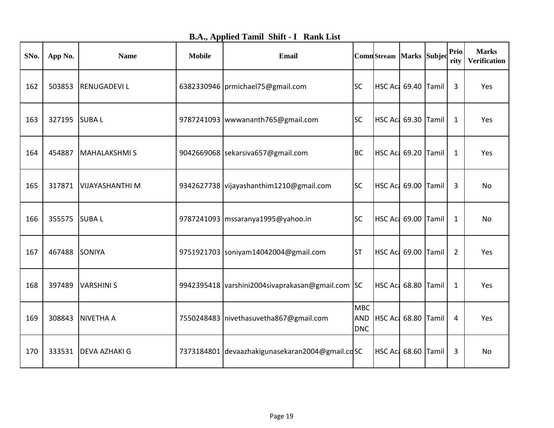| <b>B.A., Applied Tamil Shift - I Rank List</b> |  |  |  |  |  |
|------------------------------------------------|--|--|--|--|--|
|------------------------------------------------|--|--|--|--|--|

| SNo. | App No.       | <b>Name</b>            | <b>Mobile</b> | <b>Email</b>                                     |                                        | ComnStream Marks Subjec    |  | Prio<br>rity   | <b>Marks</b><br><b>Verification</b> |
|------|---------------|------------------------|---------------|--------------------------------------------------|----------------------------------------|----------------------------|--|----------------|-------------------------------------|
| 162  | 503853        | <b>RENUGADEVIL</b>     |               | 6382330946 prmichael75@gmail.com                 | <b>SC</b>                              | HSC Aci 69.40 Tamil        |  | 3              | Yes                                 |
| 163  | 327195 SUBA L |                        |               | 9787241093   wwwananth 765@gmail.com             | <b>SC</b>                              | HSC Aci 69.30 Tamil        |  | $\mathbf{1}$   | Yes                                 |
| 164  | 454887        | <b>MAHALAKSHMIS</b>    |               | 9042669068 sekarsiva657@gmail.com                | <b>BC</b>                              | <b>HSC Ac: 69.20 Tamil</b> |  | $\mathbf{1}$   | Yes                                 |
| 165  | 317871        | <b>VIJAYASHANTHI M</b> |               | 9342627738 vijayashanthim1210@gmail.com          | <b>SC</b>                              | HSC Act 69.00 Tamil        |  | 3              | No                                  |
| 166  | 355575        | <b>SUBAL</b>           |               | 9787241093   mssaranya1995@yahoo.in              | <b>SC</b>                              | HSC Act 69.00 Tamil        |  | 1              | <b>No</b>                           |
| 167  | 467488        | <b>SONIYA</b>          |               | 9751921703 soniyam14042004@gmail.com             | <b>ST</b>                              | HSC Act 69.00 Tamil        |  | $\overline{2}$ | Yes                                 |
| 168  | 397489        | <b>VARSHINIS</b>       |               | 9942395418 varshini2004sivaprakasan@gmail.com SC |                                        | HSC Act 68.80 Tamil        |  | $\mathbf{1}$   | Yes                                 |
| 169  | 308843        | <b>NIVETHA A</b>       |               | 7550248483   nivethasuvetha867@gmail.com         | <b>MBC</b><br><b>AND</b><br><b>DNC</b> | HSC Aci 68.80 Tamil        |  | 4              | Yes                                 |
| 170  | 333531        | <b>DEVA AZHAKI G</b>   |               | 7373184801 devaazhakigunasekaran2004@gmail.cdSC  |                                        | HSC Aci 68.60 Tamil        |  | 3              | No                                  |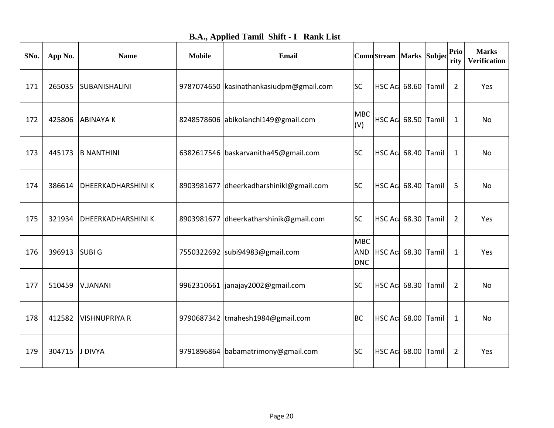|  |  |  |  | <b>B.A., Applied Tamil Shift - I Rank List</b> |
|--|--|--|--|------------------------------------------------|
|--|--|--|--|------------------------------------------------|

| SNo. | App No. | <b>Name</b>               | <b>Mobile</b> | Email                                   |                          | ComnStream Marks Subjed |  | Prio<br>rity   | <b>Marks</b><br>Verification |
|------|---------|---------------------------|---------------|-----------------------------------------|--------------------------|-------------------------|--|----------------|------------------------------|
| 171  | 265035  | SUBANISHALINI             |               | 9787074650 kasinathankasiudpm@gmail.com | <b>SC</b>                | HSC Aci 68.60 Tamil     |  | $\overline{2}$ | Yes                          |
| 172  | 425806  | <b>ABINAYAK</b>           |               | 8248578606 abikolanchi149@gmail.com     | <b>MBC</b><br>(V)        | HSC Act 68.50 Tamil     |  | 1              | <b>No</b>                    |
| 173  | 445173  | <b>B NANTHINI</b>         |               | 6382617546 baskarvanitha45@gmail.com    | <b>SC</b>                | HSC Aci 68.40 Tamil     |  | 1              | No                           |
| 174  | 386614  | <b>DHEERKADHARSHINI K</b> |               | 8903981677 dheerkadharshinikl@gmail.com | <b>SC</b>                | HSC Act 68.40 Tamil     |  | 5              | <b>No</b>                    |
| 175  | 321934  | <b>DHEERKADHARSHINI K</b> |               | 8903981677 dheerkatharshinik@gmail.com  | <b>SC</b>                | HSC Ac 68.30 Tamil      |  | $\overline{2}$ | Yes                          |
| 176  | 396913  | <b>SUBIG</b>              |               | 7550322692 subi94983@gmail.com          | <b>MBC</b><br><b>DNC</b> | AND HSC Ac 68.30 Tamil  |  | 1              | Yes                          |
| 177  | 510459  | V.JANANI                  |               | 9962310661   janajay2002@gmail.com      | <b>SC</b>                | HSC Act 68.30 Tamil     |  | $\overline{2}$ | No                           |
| 178  | 412582  | <b>VISHNUPRIYA R</b>      |               | 9790687342 tmahesh1984@gmail.com        | <b>BC</b>                | HSC Aci 68.00 Tamil     |  | 1              | No                           |
| 179  | 304715  | J DIVYA                   |               | 9791896864 babamatrimony@gmail.com      | <b>SC</b>                | HSC Act 68.00 Tamil     |  | $\overline{2}$ | Yes                          |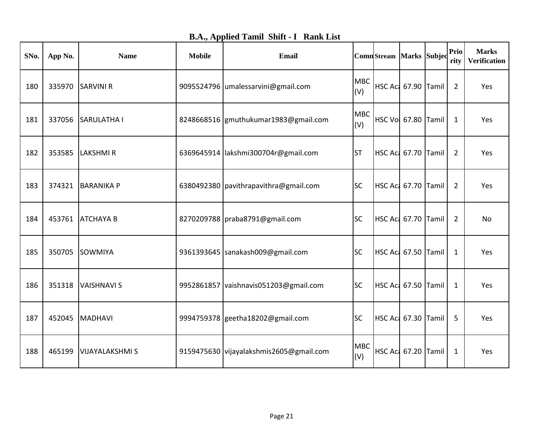| <b>B.A., Applied Tamil Shift - I Rank List</b> |  |  |
|------------------------------------------------|--|--|
|------------------------------------------------|--|--|

| SNo. | App No. | <b>Name</b>            | <b>Mobile</b> | Email                                   |                   | ComnStream Marks Subjed    |  | Prio<br>rity   | <b>Marks</b><br><b>Verification</b> |
|------|---------|------------------------|---------------|-----------------------------------------|-------------------|----------------------------|--|----------------|-------------------------------------|
| 180  | 335970  | <b>SARVINI R</b>       |               | 9095524796 umalessarvini@gmail.com      | <b>MBC</b><br>(V) | HSC Act 67.90 Tamil        |  | $\overline{2}$ | Yes                                 |
| 181  | 337056  | <b>SARULATHA I</b>     |               | 8248668516 gmuthukumar1983@gmail.com    | <b>MBC</b><br>(V) | HSC Vol 67.80 Tamil        |  | 1              | Yes                                 |
| 182  | 353585  | <b>LAKSHMIR</b>        |               | 6369645914  lakshmi300704r@gmail.com    | <b>ST</b>         | HSC Act 67.70 Tamil        |  | $\overline{2}$ | Yes                                 |
| 183  | 374321  | <b>BARANIKA P</b>      |               | 6380492380   pavithrapavithra@gmail.com | <b>SC</b>         | HSC Act 67.70 Tamil        |  | $\overline{2}$ | Yes                                 |
| 184  | 453761  | <b>ATCHAYA B</b>       |               | 8270209788   praba8791@gmail.com        | <b>SC</b>         | HSC Aci 67.70 Tamil        |  | 2              | No                                  |
| 185  | 350705  | SOWMIYA                |               | 9361393645   sanakash009@gmail.com      | <b>SC</b>         | HSC Act 67.50 Tamil        |  | 1              | Yes                                 |
| 186  | 351318  | VAISHNAVI S            |               | 9952861857 vaishnavis051203@gmail.com   | <b>SC</b>         | HSC Act 67.50 Tamil        |  | 1              | Yes                                 |
| 187  | 452045  | MADHAVI                |               | 9994759378 geetha18202@gmail.com        | <b>SC</b>         | HSC Act 67.30 Tamil        |  | 5              | Yes                                 |
| 188  | 465199  | <b>VIJAYALAKSHMI S</b> |               | 9159475630 vijayalakshmis2605@gmail.com | <b>MBC</b><br>(V) | <b>HSC Ac: 67.20 Tamil</b> |  | 1              | Yes                                 |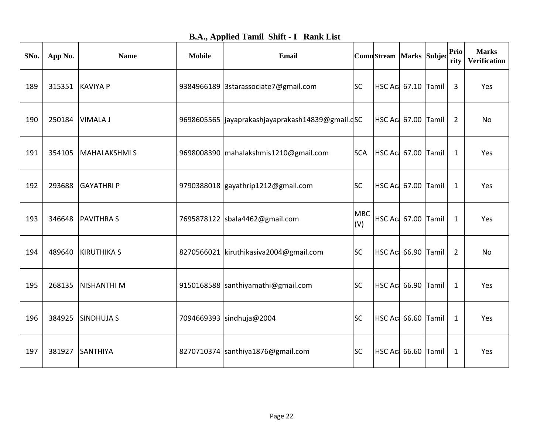|  |  |  |  | <b>B.A., Applied Tamil Shift - I Rank List</b> |
|--|--|--|--|------------------------------------------------|
|--|--|--|--|------------------------------------------------|

| SNo. | App No. | <b>Name</b>         | <b>Mobile</b> | <b>Email</b>                                       |                   | Comn Stream   Marks   Subjec |  | <b>Prio</b><br>rity | <b>Marks</b><br><b>Verification</b> |
|------|---------|---------------------|---------------|----------------------------------------------------|-------------------|------------------------------|--|---------------------|-------------------------------------|
| 189  | 315351  | <b>KAVIYA P</b>     |               | 9384966189 3starassociate7@gmail.com               | <b>SC</b>         | HSC Act 67.10 Tamil          |  | 3                   | Yes                                 |
| 190  | 250184  | VIMALA J            |               | 9698605565   jayaprakashjayaprakash14839@gmail.dSC |                   | <b>HSC Act 67.00 Tamil</b>   |  | $\overline{2}$      | No                                  |
| 191  | 354105  | <b>MAHALAKSHMIS</b> |               | 9698008390   mahalakshmis1210@gmail.com            | <b>SCA</b>        | HSC Act 67.00 Tamil          |  | $\mathbf{1}$        | Yes                                 |
| 192  | 293688  | <b>GAYATHRIP</b>    |               | 9790388018 gayathrip1212@gmail.com                 | <b>SC</b>         | HSC Act 67.00 Tamil          |  | $\mathbf{1}$        | Yes                                 |
| 193  | 346648  | <b>PAVITHRAS</b>    |               | 7695878122 sbala4462@gmail.com                     | <b>MBC</b><br>(V) | HSC Act 67.00 Tamil          |  | 1                   | Yes                                 |
| 194  | 489640  | <b>KIRUTHIKA S</b>  |               | 8270566021 kiruthikasiva2004@gmail.com             | <b>SC</b>         | HSC Act 66.90 Tamil          |  | $\overline{2}$      | No                                  |
| 195  | 268135  | <b>NISHANTHI M</b>  |               | 9150168588 santhiyamathi@gmail.com                 | <b>SC</b>         | HSC Act 66.90 Tamil          |  | 1                   | Yes                                 |
| 196  | 384925  | <b>SINDHUJA S</b>   |               | 7094669393 sindhuja@2004                           | <b>SC</b>         | HSC Act 66.60 Tamil          |  | 1                   | Yes                                 |
| 197  | 381927  | SANTHIYA            |               | 8270710374 santhiya1876@gmail.com                  | <b>SC</b>         | HSC Ac: 66.60 Tamil          |  | 1                   | Yes                                 |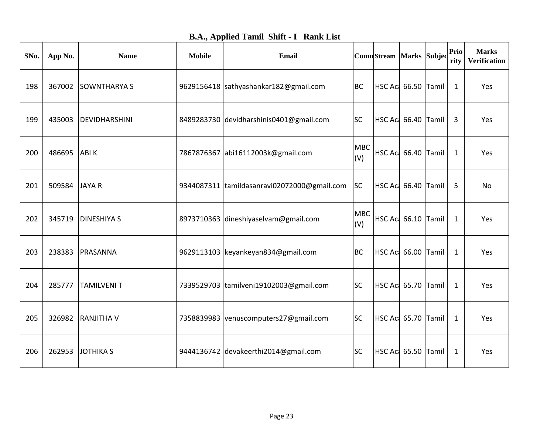| <b>B.A., Applied Tamil Shift - I Rank List</b> |  |  |
|------------------------------------------------|--|--|
|------------------------------------------------|--|--|

| SNo. | App No. | <b>Name</b>         | <b>Mobile</b> | <b>Email</b>                                |                   | Comn Stream   Marks   Subjec |  | <b>Prio</b><br>rity | <b>Marks</b><br><b>Verification</b> |
|------|---------|---------------------|---------------|---------------------------------------------|-------------------|------------------------------|--|---------------------|-------------------------------------|
| 198  | 367002  | <b>SOWNTHARYA S</b> |               | 9629156418 sathyashankar182@gmail.com       | <b>BC</b>         | HSC Ac 66.50 Tamil           |  | $\mathbf{1}$        | Yes                                 |
| 199  | 435003  | DEVIDHARSHINI       |               | 8489283730 devidharshinis0401@gmail.com     | <b>SC</b>         | HSC Act 66.40 Tamil          |  | 3                   | Yes                                 |
| 200  | 486695  | <b>ABIK</b>         |               | 7867876367 abi16112003k@gmail.com           | <b>MBC</b><br>(V) | HSC Aci 66.40 Tamil          |  | $\mathbf{1}$        | Yes                                 |
| 201  | 509584  | <b>JAYAR</b>        |               | 9344087311 tamildasanravi02072000@gmail.com | <b>SC</b>         | HSC Act 66.40 Tamil          |  | 5                   | <b>No</b>                           |
| 202  | 345719  | <b>DINESHIYA S</b>  |               | 8973710363 dineshiyaselvam@gmail.com        | <b>MBC</b><br>(V) | HSC Aci 66.10 Tamil          |  | $\mathbf 1$         | Yes                                 |
| 203  | 238383  | PRASANNA            |               | 9629113103 keyankeyan834@gmail.com          | <b>BC</b>         | HSC Act 66.00 Tamil          |  | $\mathbf 1$         | Yes                                 |
| 204  | 285777  | <b>TAMILVENIT</b>   |               | 7339529703 tamilveni19102003@gmail.com      | <b>SC</b>         | HSC Aci 65.70 Tamil          |  | $\mathbf{1}$        | Yes                                 |
| 205  | 326982  | <b>RANJITHA V</b>   |               | 7358839983 venuscomputers27@gmail.com       | <b>SC</b>         | HSC Act 65.70 Tamil          |  | $\mathbf{1}$        | Yes                                 |
| 206  | 262953  | <b>JOTHIKA S</b>    |               | 9444136742 devakeerthi2014@gmail.com        | <b>SC</b>         | HSC Aci 65.50 Tamil          |  | 1                   | Yes                                 |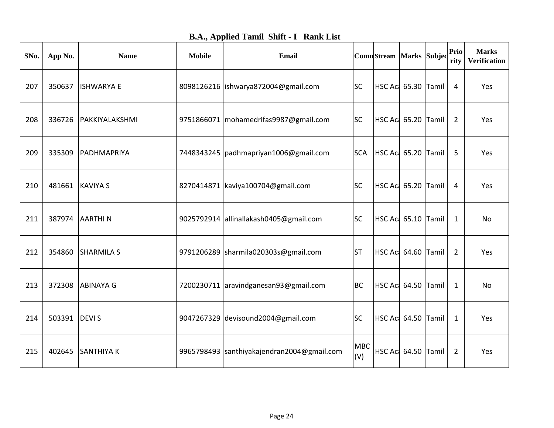|  |  |  |  | <b>B.A., Applied Tamil Shift - I Rank List</b> |
|--|--|--|--|------------------------------------------------|
|--|--|--|--|------------------------------------------------|

| SNo. | App No. | <b>Name</b>       | <b>Mobile</b> | Email                                       |                   | ComnStream Marks Subjed |  | Prio<br>rity   | <b>Marks</b><br>Verification |
|------|---------|-------------------|---------------|---------------------------------------------|-------------------|-------------------------|--|----------------|------------------------------|
| 207  | 350637  | <b>ISHWARYA E</b> |               | 8098126216   ishwarya872004@gmail.com       | <b>SC</b>         | HSC Aci 65.30 Tamil     |  | 4              | Yes                          |
| 208  | 336726  | PAKKIYALAKSHMI    |               | 9751866071   mohamedrifas9987@gmail.com     | <b>SC</b>         | HSC Act 65.20 Tamil     |  | 2              | Yes                          |
| 209  | 335309  | PADHMAPRIYA       |               | 7448343245   padhmapriyan1006@gmail.com     | <b>SCA</b>        | HSC Aci 65.20 Tamil     |  | 5              | Yes                          |
| 210  | 481661  | <b>KAVIYA S</b>   |               | 8270414871 kaviya100704@gmail.com           | <b>SC</b>         | HSC Act 65.20 Tamil     |  | 4              | Yes                          |
| 211  | 387974  | <b>AARTHIN</b>    |               | 9025792914 allinallakash0405@gmail.com      | <b>SC</b>         | HSC Aci 65.10 Tamil     |  | 1              | No                           |
| 212  | 354860  | <b>SHARMILA S</b> |               | 9791206289   sharmila020303s@gmail.com      | <b>ST</b>         | HSC Act 64.60 Tamil     |  | $\overline{2}$ | Yes                          |
| 213  | 372308  | <b>ABINAYA G</b>  |               | 7200230711 aravindganesan93@gmail.com       | <b>BC</b>         | HSC Aci 64.50 Tamil     |  | 1              | No                           |
| 214  | 503391  | <b>DEVIS</b>      |               | 9047267329 devisound2004@gmail.com          | <b>SC</b>         | HSC Act 64.50 Tamil     |  | $\mathbf{1}$   | Yes                          |
| 215  | 402645  | <b>SANTHIYAK</b>  |               | 9965798493  santhiyakajendran2004@gmail.com | <b>MBC</b><br>(V) | HSC Act 64.50 Tamil     |  | $\overline{2}$ | Yes                          |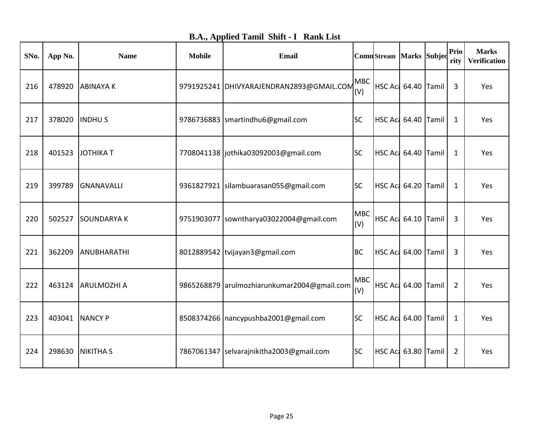| SNo. | App No. | <b>Name</b>        | <b>Mobile</b> | <b>Email</b>                                |                   | ComnStream Marks Subjec    |  | Prio<br>rity   | <b>Marks</b><br><b>Verification</b> |
|------|---------|--------------------|---------------|---------------------------------------------|-------------------|----------------------------|--|----------------|-------------------------------------|
| 216  | 478920  | <b>ABINAYAK</b>    |               | 9791925241 DHIVYARAJENDRAN2893@GMAIL.COM    | <b>MBC</b><br>(V) | HSC Act 64.40 Tamil        |  | 3              | Yes                                 |
| 217  | 378020  | <b>INDHUS</b>      |               | 9786736883  smartindhu6@gmail.com           | <b>SC</b>         | HSC Aci 64.40 Tamil        |  | 1              | Yes                                 |
| 218  | 401523  | <b>JOTHIKA T</b>   |               | 7708041138   jothika03092003@gmail.com      | <b>SC</b>         | <b>HSC Ac: 64.40 Tamil</b> |  | $\mathbf{1}$   | Yes                                 |
| 219  | 399789  | GNANAVALLI         |               | 9361827921 silambuarasan055@gmail.com       | <b>SC</b>         | <b>HSC Ac: 64.20 Tamil</b> |  | 1              | Yes                                 |
| 220  | 502527  | <b>SOUNDARYAK</b>  |               | 9751903077 sowntharya03022004@gmail.com     | <b>MBC</b><br>(V) | <b>HSC Ac: 64.10 Tamil</b> |  | 3              | Yes                                 |
| 221  | 362209  | ANUBHARATHI        |               | 8012889542 tvijayan3@gmail.com              | <b>BC</b>         | <b>HSC Ac: 64.00 Tamil</b> |  | 3              | Yes                                 |
| 222  | 463124  | <b>ARULMOZHI A</b> |               | 9865268879 arulmozhiarunkumar2004@gmail.com | <b>MBC</b><br>(V) | HSC Aci 64.00 Tamil        |  | 2              | Yes                                 |
| 223  | 403041  | <b>NANCY P</b>     |               | 8508374266   nancypushba2001@gmail.com      | <b>SC</b>         | HSC Act 64.00 Tamil        |  | $\mathbf{1}$   | Yes                                 |
| 224  | 298630  | <b>NIKITHA S</b>   |               | 7867061347 selvarajnikitha2003@gmail.com    | <b>SC</b>         | HSC Aci 63.80 Tamil        |  | $\overline{2}$ | Yes                                 |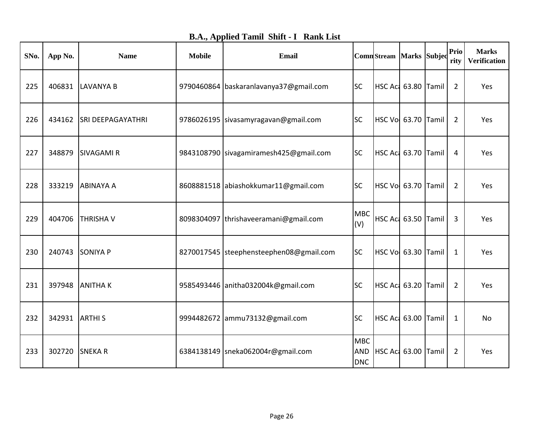|  |  |  |  | <b>B.A., Applied Tamil Shift - I Rank List</b> |
|--|--|--|--|------------------------------------------------|
|--|--|--|--|------------------------------------------------|

| SNo. | App No. | <b>Name</b>              | <b>Mobile</b> | <b>Email</b>                            |                          | Comn Stream   Marks   Subjed |  | <b>Prio</b><br>rity | <b>Marks</b><br><b>Verification</b> |
|------|---------|--------------------------|---------------|-----------------------------------------|--------------------------|------------------------------|--|---------------------|-------------------------------------|
| 225  | 406831  | LAVANYA B                |               | 9790460864 baskaranlavanya37@gmail.com  | <b>SC</b>                | HSC Act 63.80 Tamil          |  | $\overline{2}$      | Yes                                 |
| 226  | 434162  | <b>SRI DEEPAGAYATHRI</b> |               | 9786026195 sivasamyragavan@gmail.com    | <b>SC</b>                | HSC Vol 63.70 Tamil          |  | 2                   | Yes                                 |
| 227  | 348879  | <b>SIVAGAMIR</b>         |               | 9843108790 sivagamiramesh425@gmail.com  | <b>SC</b>                | HSC Act 63.70 Tamil          |  | 4                   | Yes                                 |
| 228  | 333219  | <b>ABINAYA A</b>         |               | 8608881518 abiashokkumar11@gmail.com    | <b>SC</b>                | HSC Vol 63.70 Tamil          |  | $\overline{2}$      | Yes                                 |
| 229  | 404706  | <b>THRISHAV</b>          |               | 8098304097 thrishaveeramani@gmail.com   | <b>MBC</b><br>(V)        | HSC Act 63.50 Tamil          |  | 3                   | Yes                                 |
| 230  | 240743  | <b>SONIYA P</b>          |               | 8270017545 steephensteephen08@gmail.com | <b>SC</b>                | HSC Vol 63.30 Tamil          |  | 1                   | Yes                                 |
| 231  | 397948  | <b>ANITHAK</b>           |               | 9585493446 anitha032004k@gmail.com      | <b>SC</b>                | HSC Act 63.20 Tamil          |  | $\overline{2}$      | Yes                                 |
| 232  | 342931  | <b>ARTHIS</b>            |               | 9994482672 ammu73132@gmail.com          | <b>SC</b>                | HSC Ac: 63.00 Tamil          |  | $\mathbf{1}$        | No                                  |
| 233  | 302720  | <b>SNEKAR</b>            |               | 6384138149   sneka062004r@gmail.com     | <b>MBC</b><br><b>DNC</b> | AND HSC Ac 63.00 Tamil       |  | $\overline{2}$      | Yes                                 |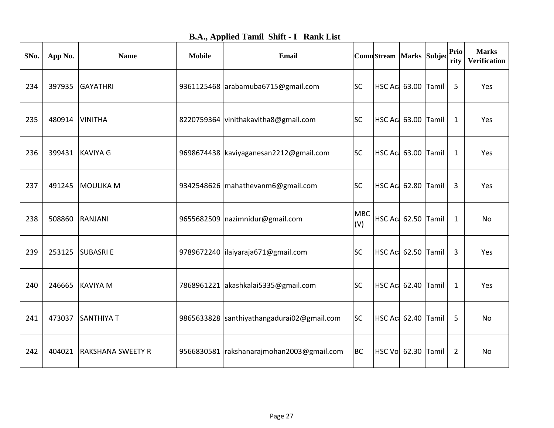|  |  |  |  | <b>B.A., Applied Tamil Shift - I Rank List</b> |
|--|--|--|--|------------------------------------------------|
|--|--|--|--|------------------------------------------------|

| SNo. | App No. | <b>Name</b>              | <b>Mobile</b> | Email                                       |                   | ComnStream Marks Subjec    |  | Prio<br>rity   | <b>Marks</b><br><b>Verification</b> |
|------|---------|--------------------------|---------------|---------------------------------------------|-------------------|----------------------------|--|----------------|-------------------------------------|
| 234  | 397935  | <b>GAYATHRI</b>          |               | 9361125468 arabamuba6715@gmail.com          | <b>SC</b>         | HSC Ac 63.00 Tamil         |  | 5              | Yes                                 |
| 235  | 480914  | <b>VINITHA</b>           |               | 8220759364 vinithakavitha8@gmail.com        | <b>SC</b>         | HSC Act 63.00 Tamil        |  | $\mathbf{1}$   | Yes                                 |
| 236  | 399431  | <b>KAVIYA G</b>          |               | 9698674438 kaviyaganesan2212@gmail.com      | <b>SC</b>         | HSC Act 63.00 Tamil        |  | $\mathbf{1}$   | Yes                                 |
| 237  | 491245  | <b>MOULIKA M</b>         |               | 9342548626   mahathevanm6@gmail.com         | <b>SC</b>         | HSC Aci 62.80 Tamil        |  | 3              | Yes                                 |
| 238  | 508860  | <b>RANJANI</b>           |               | 9655682509   nazimnidur@gmail.com           | <b>MBC</b><br>(V) | HSC Act 62.50 Tamil        |  | $\mathbf{1}$   | No                                  |
| 239  | 253125  | <b>SUBASRIE</b>          |               | 9789672240 lilaiyaraja671@gmail.com         | <b>SC</b>         | HSC Act 62.50 Tamil        |  | 3              | Yes                                 |
| 240  | 246665  | <b>KAVIYA M</b>          |               | 7868961221 akashkalai5335@gmail.com         | <b>SC</b>         | HSC Aci 62.40 Tamil        |  | 1              | Yes                                 |
| 241  | 473037  | <b>SANTHIYA T</b>        |               | 9865633828 santhiyathangadurai02@gmail.com  | <b>SC</b>         | HSC Act 62.40 Tamil        |  | 5              | No                                  |
| 242  | 404021  | <b>RAKSHANA SWEETY R</b> |               | 9566830581   rakshanarajmohan2003@gmail.com | <b>BC</b>         | <b>HSC Vol 62.30 Tamil</b> |  | $\overline{2}$ | <b>No</b>                           |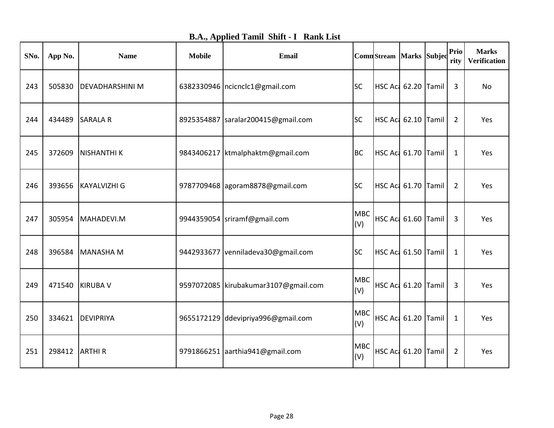| <b>B.A., Applied Tamil Shift - I Rank List</b> |  |  |  |  |  |
|------------------------------------------------|--|--|--|--|--|
|------------------------------------------------|--|--|--|--|--|

| SNo. | App No. | <b>Name</b>            | <b>Mobile</b> | Email                                  |                   | ComnStream Marks Subjed    |                            | Prio<br>rity   | <b>Marks</b><br><b>Verification</b> |
|------|---------|------------------------|---------------|----------------------------------------|-------------------|----------------------------|----------------------------|----------------|-------------------------------------|
| 243  | 505830  | <b>DEVADHARSHINI M</b> |               | 6382330946   ncicnclc1@gmail.com       | <b>SC</b>         | HSC Aci 62.20 Tamil        |                            | 3              | No                                  |
| 244  | 434489  | <b>SARALA R</b>        |               | 8925354887  saralar200415@gmail.com    | <b>SC</b>         | HSC Aci 62.10 Tamil        |                            | 2              | Yes                                 |
| 245  | 372609  | <b>NISHANTHI K</b>     |               | 9843406217   ktmalphaktm@gmail.com     | <b>BC</b>         | <b>HSC Ac: 61.70 Tamil</b> |                            | 1              | Yes                                 |
| 246  | 393656  | <b>KAYALVIZHI G</b>    |               | 9787709468 agoram8878@gmail.com        | <b>SC</b>         | HSC Act 61.70 Tamil        |                            | 2              | Yes                                 |
| 247  | 305954  | MAHADEVI.M             |               | 9944359054 sriramf@gmail.com           | <b>MBC</b><br>(V) | HSC Act 61.60 Tamil        |                            | 3              | Yes                                 |
| 248  | 396584  | MANASHA M              |               | 9442933677 venniladeva30@gmail.com     | <b>SC</b>         | HSC Act 61.50 Tamil        |                            | 1              | Yes                                 |
| 249  | 471540  | <b>KIRUBA V</b>        |               | 9597072085   kirubakumar3107@gmail.com | <b>MBC</b><br>(V) | HSC Act 61.20 Tamil        |                            | 3              | Yes                                 |
| 250  | 334621  | DEVIPRIYA              |               | 9655172129 ddevipriya996@gmail.com     | <b>MBC</b><br>(V) | <b>HSC Act 61.20 Tamil</b> |                            | $\mathbf{1}$   | Yes                                 |
| 251  | 298412  | <b>ARTHIR</b>          |               | 9791866251 aarthia941@gmail.com        | <b>MBC</b><br>(V) |                            | <b>HSC Act 61.20 Tamil</b> | $\overline{2}$ | Yes                                 |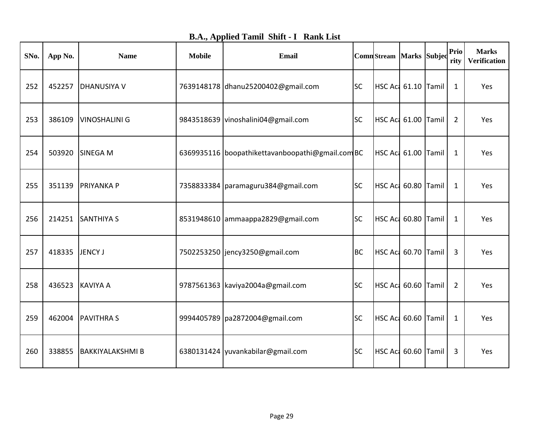|  |  |  |  | <b>B.A., Applied Tamil Shift - I Rank List</b> |
|--|--|--|--|------------------------------------------------|
|--|--|--|--|------------------------------------------------|

| SNo. | App No. | <b>Name</b>             | <b>Mobile</b> | <b>Email</b>                                     |           | <b>Comn</b> Stream Marks Subjed |  | Prio<br>rity   | <b>Marks</b><br><b>Verification</b> |
|------|---------|-------------------------|---------------|--------------------------------------------------|-----------|---------------------------------|--|----------------|-------------------------------------|
| 252  | 452257  | <b>DHANUSIYA V</b>      |               | 7639148178 dhanu25200402@gmail.com               | <b>SC</b> | HSC Aci 61.10 Tamil             |  | $\mathbf{1}$   | Yes                                 |
| 253  | 386109  | <b>VINOSHALINI G</b>    |               | 9843518639 vinoshalini04@gmail.com               | <b>SC</b> | HSC Aci 61.00 Tamil             |  | 2              | Yes                                 |
| 254  | 503920  | <b>SINEGA M</b>         |               | 6369935116 boopathikettavanboopathi@gmail.com BC |           | <b>HSC Ac: 61.00 Tamil</b>      |  | 1              | Yes                                 |
| 255  | 351139  | <b>PRIYANKAP</b>        |               | 7358833384   paramaguru384@gmail.com             | <b>SC</b> | HSC Act 60.80 Tamil             |  | 1              | Yes                                 |
| 256  | 214251  | <b>SANTHIYA S</b>       |               | 8531948610 ammaappa2829@gmail.com                | <b>SC</b> | HSC Act 60.80 Tamil             |  | $\mathbf{1}$   | Yes                                 |
| 257  | 418335  | JENCY J                 |               | 7502253250   jency3250@gmail.com                 | <b>BC</b> | HSC Act 60.70 Tamil             |  | 3              | Yes                                 |
| 258  | 436523  | <b>KAVIYA A</b>         |               | 9787561363 kaviya2004a@gmail.com                 | <b>SC</b> | HSC Aci 60.60 Tamil             |  | $\overline{2}$ | Yes                                 |
| 259  | 462004  | <b>PAVITHRAS</b>        |               | 9994405789   pa2872004@gmail.com                 | <b>SC</b> | HSC Act 60.60 Tamil             |  | $\mathbf{1}$   | Yes                                 |
| 260  | 338855  | <b>BAKKIYALAKSHMI B</b> |               | 6380131424 vuvankabilar@gmail.com                | <b>SC</b> | HSC Act 60.60 Tamil             |  | 3              | Yes                                 |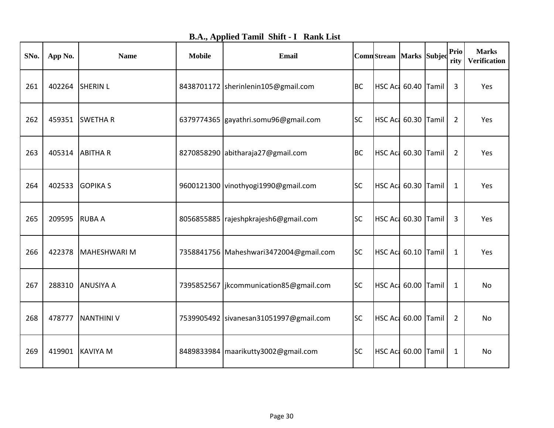| <b>B.A., Applied Tamil Shift - I Rank List</b> |  |  |
|------------------------------------------------|--|--|
|------------------------------------------------|--|--|

| SNo. | App No. | <b>Name</b>       | <b>Mobile</b> | Email                                     |           | ComnStream Marks Subjec    |  | Prio<br>rity   | <b>Marks</b><br><b>Verification</b> |
|------|---------|-------------------|---------------|-------------------------------------------|-----------|----------------------------|--|----------------|-------------------------------------|
| 261  | 402264  | <b>SHERIN L</b>   |               | 8438701172 sherinlenin105@gmail.com       | <b>BC</b> | HSC Act 60.40 Tamil        |  | 3              | Yes                                 |
| 262  | 459351  | <b>SWETHAR</b>    |               | 6379774365 gayathri.somu96@gmail.com      | <b>SC</b> | HSC Act 60.30 Tamil        |  | $\overline{2}$ | Yes                                 |
| 263  | 405314  | <b>ABITHAR</b>    |               | 8270858290 abitharaja27@gmail.com         | <b>BC</b> | HSC Act 60.30 Tamil        |  | $\overline{2}$ | Yes                                 |
| 264  | 402533  | <b>GOPIKA S</b>   |               | 9600121300 vinothyogi1990@gmail.com       | <b>SC</b> | HSC Act 60.30 Tamil        |  | $\mathbf{1}$   | Yes                                 |
| 265  | 209595  | <b>RUBA A</b>     |               | 8056855885   rajeshpkrajesh6@gmail.com    | <b>SC</b> | HSC Aci 60.30 Tamil        |  | 3              | Yes                                 |
| 266  | 422378  | MAHESHWARI M      |               | 7358841756 Maheshwari3472004@gmail.com    | <b>SC</b> | HSC Aci 60.10 Tamil        |  | 1              | Yes                                 |
| 267  | 288310  | <b>ANUSIYA A</b>  |               | 7395852567   jkcommunication 85@gmail.com | <b>SC</b> | HSC Act 60.00 Tamil        |  | $\mathbf{1}$   | No                                  |
| 268  | 478777  | <b>NANTHINI V</b> |               | 7539905492 sivanesan31051997@gmail.com    | <b>SC</b> | <b>HSC Ac: 60.00 Tamil</b> |  | $\overline{2}$ | No                                  |
| 269  | 419901  | KAVIYA M          |               | 8489833984   maarikutty3002@gmail.com     | <b>SC</b> | HSC Aci 60.00 Tamil        |  | 1              | No                                  |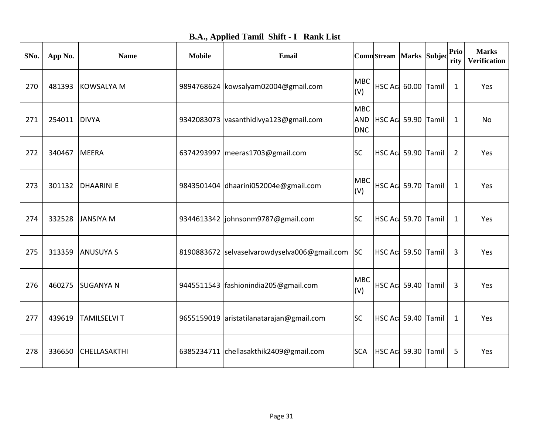| <b>B.A., Applied Tamil Shift - I Rank List</b> |  |  |
|------------------------------------------------|--|--|
|------------------------------------------------|--|--|

| SNo. | App No. | <b>Name</b>         | <b>Mobile</b> | Email                                           |                          | ComnStream Marks Subjed |  | Prio<br>rity | <b>Marks</b><br><b>Verification</b> |
|------|---------|---------------------|---------------|-------------------------------------------------|--------------------------|-------------------------|--|--------------|-------------------------------------|
| 270  | 481393  | <b>KOWSALYA M</b>   |               | 9894768624 kowsalyam02004@gmail.com             | <b>MBC</b><br>(V)        | HSC Act 60.00 Tamil     |  | $\mathbf{1}$ | Yes                                 |
| 271  | 254011  | <b>DIVYA</b>        |               | 9342083073 vasanthidivya123@gmail.com           | <b>MBC</b><br><b>DNC</b> | AND HSC Act 59.90 Tamil |  | 1            | No                                  |
| 272  | 340467  | MEERA               |               | 6374293997   meeras1703@gmail.com               | <b>SC</b>                | HSC Act 59.90 Tamil     |  | 2            | Yes                                 |
| 273  | 301132  | <b>DHAARINIE</b>    |               | 9843501404 dhaarini052004e@gmail.com            | <b>MBC</b><br>(V)        | HSC Act 59.70 Tamil     |  | $\mathbf{1}$ | Yes                                 |
| 274  | 332528  | <b>JANSIYA M</b>    |               | 9344613342   johnsonm9787@gmail.com             | <b>SC</b>                | HSC Aci 59.70 Tamil     |  | 1            | Yes                                 |
| 275  | 313359  | <b>ANUSUYA S</b>    |               | 8190883672 selvaselvarowdyselva006@gmail.com SC |                          | HSC Act 59.50 Tamil     |  | 3            | Yes                                 |
| 276  | 460275  | <b>SUGANYA N</b>    |               | 9445511543   fashionindia 205@gmail.com         | <b>MBC</b><br>(V)        | HSC Act 59.40 Tamil     |  | 3            | Yes                                 |
| 277  | 439619  | <b>TAMILSELVI T</b> |               | 9655159019 aristatilanatarajan@gmail.com        | <b>SC</b>                | HSC Ac: 59.40 Tamil     |  | $\mathbf{1}$ | Yes                                 |
| 278  | 336650  | <b>CHELLASAKTHI</b> |               | 6385234711 chellasakthik2409@gmail.com          | <b>SCA</b>               | HSC Act 59.30 Tamil     |  | 5            | Yes                                 |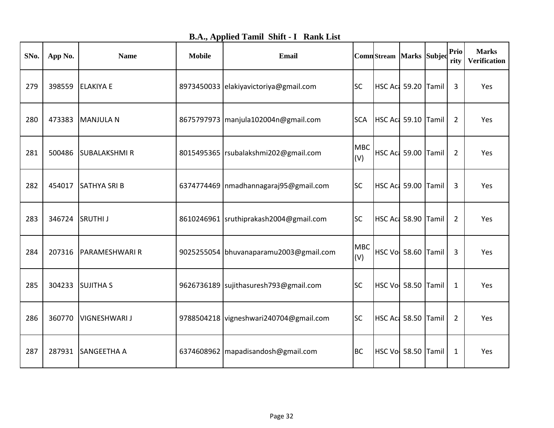| <b>B.A., Applied Tamil Shift - I Rank List</b> |  |
|------------------------------------------------|--|
|------------------------------------------------|--|

| SNo. | App No. | <b>Name</b>           | <b>Mobile</b> | <b>Email</b>                            |                   | Comn Stream   Marks   Subjed |  | <b>Prio</b><br>rity | <b>Marks</b><br><b>Verification</b> |
|------|---------|-----------------------|---------------|-----------------------------------------|-------------------|------------------------------|--|---------------------|-------------------------------------|
| 279  | 398559  | <b>ELAKIYA E</b>      |               | 8973450033 elakiyavictoriya@gmail.com   | <b>SC</b>         | HSC Act 59.20 Tamil          |  | 3                   | Yes                                 |
| 280  | 473383  | MANJULA N             |               | 8675797973   manjula102004n@gmail.com   | <b>SCA</b>        | HSC Act 59.10 Tamil          |  | 2                   | Yes                                 |
| 281  | 500486  | <b>SUBALAKSHMIR</b>   |               | 8015495365   rsubalakshmi202@gmail.com  | <b>MBC</b><br>(V) | HSC Act 59.00 Tamil          |  | $\overline{2}$      | Yes                                 |
| 282  | 454017  | <b>SATHYA SRIB</b>    |               | 6374774469   nmadhannagaraj95@gmail.com | <b>SC</b>         | HSC Act 59.00 Tamil          |  | 3                   | Yes                                 |
| 283  | 346724  | <b>SRUTHIJ</b>        |               | 8610246961 sruthiprakash2004@gmail.com  | <b>SC</b>         | HSC Act 58.90 Tamil          |  | 2                   | Yes                                 |
| 284  | 207316  | <b>PARAMESHWARI R</b> |               | 9025255054 bhuvanaparamu2003@gmail.com  | <b>MBC</b><br>(V) | HSC Vol 58.60 Tamil          |  | 3                   | Yes                                 |
| 285  | 304233  | <b>SUJITHAS</b>       |               | 9626736189 sujithasuresh793@gmail.com   | <b>SC</b>         | HSC Vol 58.50 Tamil          |  | 1                   | Yes                                 |
| 286  | 360770  | <b>VIGNESHWARI J</b>  |               | 9788504218 vigneshwari240704@gmail.com  | <b>SC</b>         | HSC Act 58.50 Tamil          |  | $\overline{2}$      | Yes                                 |
| 287  | 287931  | SANGEETHA A           |               | 6374608962   mapadisandosh@gmail.com    | <b>BC</b>         | HSC Vol 58.50 Tamil          |  | 1                   | Yes                                 |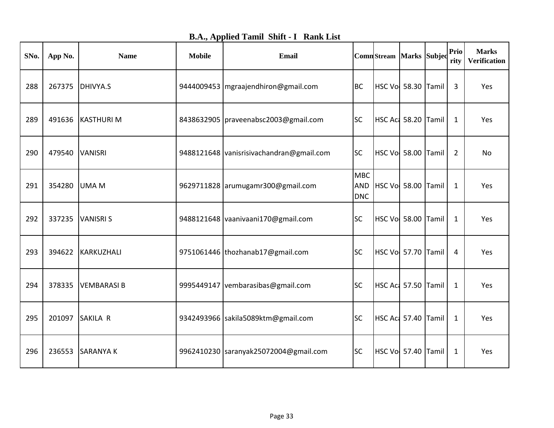| <b>B.A., Applied Tamil Shift - I Rank List</b> |  |
|------------------------------------------------|--|
|------------------------------------------------|--|

| SNo. | App No. | <b>Name</b>       | <b>Mobile</b> | Email                                    |                                        | ComnStream Marks Subjec |  | Prio<br>rity   | <b>Marks</b><br><b>Verification</b> |
|------|---------|-------------------|---------------|------------------------------------------|----------------------------------------|-------------------------|--|----------------|-------------------------------------|
| 288  | 267375  | DHIVYA.S          |               | 9444009453   mgraajendhiron@gmail.com    | <b>BC</b>                              | HSC Vol 58.30 Tamil     |  | 3              | Yes                                 |
| 289  | 491636  | <b>KASTHURIM</b>  |               | 8438632905   praveenabsc2003@gmail.com   | <b>SC</b>                              | HSC Act 58.20 Tamil     |  | $\mathbf{1}$   | Yes                                 |
| 290  | 479540  | <b>VANISRI</b>    |               | 9488121648 vanisrisivachandran@gmail.com | <b>SC</b>                              | HSC Vol 58.00 Tamil     |  | $\overline{2}$ | No                                  |
| 291  | 354280  | <b>UMA M</b>      |               | 9629711828 arumugamr300@gmail.com        | <b>MBC</b><br><b>AND</b><br><b>DNC</b> | HSC Vol 58.00 Tamil     |  | $\mathbf{1}$   | Yes                                 |
| 292  | 337235  | <b>VANISRI S</b>  |               | 9488121648 vaanivaani170@gmail.com       | <b>SC</b>                              | HSC Vol 58.00 Tamil     |  | $\mathbf{1}$   | Yes                                 |
| 293  | 394622  | KARKUZHALI        |               | 9751061446 thozhanab17@gmail.com         | <b>SC</b>                              | HSC Vol 57.70 Tamil     |  | 4              | Yes                                 |
| 294  | 378335  | <b>VEMBARASIB</b> |               | 9995449147 vembarasibas@gmail.com        | <b>SC</b>                              | HSC Act 57.50 Tamil     |  | 1              | Yes                                 |
| 295  | 201097  | SAKILA R          |               | 9342493966 sakila5089ktm@gmail.com       | <b>SC</b>                              | HSC Act 57.40 Tamil     |  | $\mathbf{1}$   | Yes                                 |
| 296  | 236553  | <b>SARANYAK</b>   |               | 9962410230 saranyak25072004@gmail.com    | <b>SC</b>                              | HSC Vol 57.40 Tamil     |  | $\mathbf{1}$   | Yes                                 |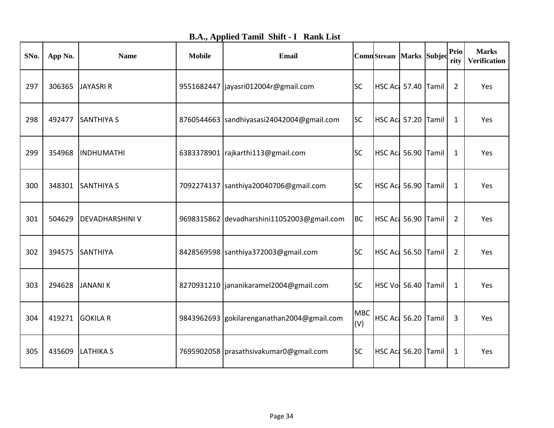|  |  | <b>B.A., Applied Tamil Shift - I Rank List</b> |
|--|--|------------------------------------------------|
|  |  |                                                |

| SNo. | App No. | <b>Name</b>            | <b>Mobile</b> | Email                                      |                   | ComnStream Marks Subjed |  | Prio<br>rity   | <b>Marks</b><br><b>Verification</b> |
|------|---------|------------------------|---------------|--------------------------------------------|-------------------|-------------------------|--|----------------|-------------------------------------|
| 297  | 306365  | JAYASRI R              |               | 9551682447   jayasri012004r@gmail.com      | <b>SC</b>         | HSC Act 57.40 Tamil     |  | $\overline{2}$ | Yes                                 |
| 298  | 492477  | <b>SANTHIYA S</b>      |               | 8760544663 sandhiyasasi24042004@gmail.com  | <b>SC</b>         | HSC Act 57.20 Tamil     |  | 1              | Yes                                 |
| 299  | 354968  | INDHUMATHI             |               | 6383378901   rajkarthi 113@gmail.com       | <b>SC</b>         | HSC Act 56.90 Tamil     |  | $\mathbf{1}$   | Yes                                 |
| 300  | 348301  | <b>SANTHIYA S</b>      |               | 7092274137   santhiya 20040706@gmail.com   | <b>SC</b>         | HSC Act 56.90 Tamil     |  | $\mathbf{1}$   | Yes                                 |
| 301  | 504629  | <b>DEVADHARSHINI V</b> |               | 9698315862 devadharshini11052003@gmail.com | <b>BC</b>         | HSC Act 56.90 Tamil     |  | 2              | Yes                                 |
| 302  | 394575  | SANTHIYA               |               | 8428569598 santhiya372003@gmail.com        | <b>SC</b>         | HSC Act 56.50 Tamil     |  | $\overline{2}$ | Yes                                 |
| 303  | 294628  | JANANI K               |               | 8270931210   jananikaramel 2004@gmail.com  | <b>SC</b>         | HSC Vol 56.40 Tamil     |  | 1              | Yes                                 |
| 304  | 419271  | <b>GOKILA R</b>        |               | 9843962693 gokilarenganathan2004@gmail.com | <b>MBC</b><br>(V) | HSC Act 56.20 Tamil     |  | 3              | Yes                                 |
| 305  | 435609  | <b>LATHIKA S</b>       |               | 7695902058   prasathsivakumar0@gmail.com   | <b>SC</b>         | HSC Act 56.20 Tamil     |  | 1              | Yes                                 |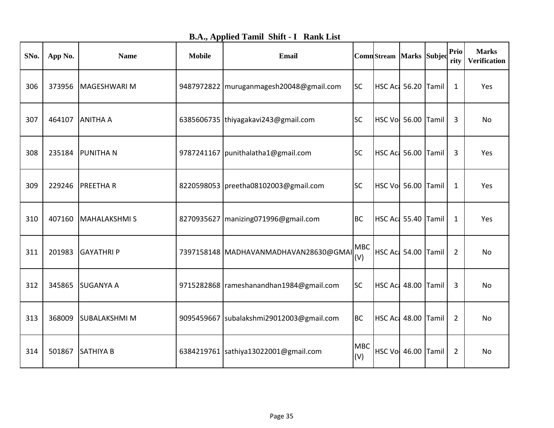|  |  |  |  | <b>B.A., Applied Tamil Shift - I Rank List</b> |
|--|--|--|--|------------------------------------------------|
|--|--|--|--|------------------------------------------------|

| SNo. | App No. | <b>Name</b>          | <b>Mobile</b> | Email                                     |                   | <b>Comn</b> Stream Marks Subjec |  | Prio<br>rity   | <b>Marks</b><br><b>Verification</b> |
|------|---------|----------------------|---------------|-------------------------------------------|-------------------|---------------------------------|--|----------------|-------------------------------------|
| 306  | 373956  | MAGESHWARI M         |               | 9487972822 muruganmagesh20048@gmail.com   | <b>SC</b>         | HSC Act 56.20 Tamil             |  | $\mathbf{1}$   | Yes                                 |
| 307  | 464107  | <b>ANITHA A</b>      |               | 6385606735 thiyagakavi243@gmail.com       | <b>SC</b>         | HSC Vol 56.00 Tamil             |  | 3              | No                                  |
| 308  | 235184  | <b>PUNITHAN</b>      |               | 9787241167   punithalatha1@gmail.com      | <b>SC</b>         | HSC Aci 56.00 Tamil             |  | 3              | Yes                                 |
| 309  | 229246  | <b>PREETHAR</b>      |               | 8220598053   preetha08102003@gmail.com    | <b>SC</b>         | HSC Vol 56.00 Tamil             |  | $\mathbf{1}$   | Yes                                 |
| 310  | 407160  | MAHALAKSHMI S        |               | 8270935627   manizing 071996@gmail.com    | <b>BC</b>         | HSC Aci 55.40 Tamil             |  | 1              | Yes                                 |
| 311  | 201983  | <b>GAYATHRIP</b>     |               | 7397158148 MADHAVANMADHAVAN28630@GMAI     | <b>MBC</b><br>(V) | HSC Act 54.00 Tamil             |  | $\overline{2}$ | <b>No</b>                           |
| 312  | 345865  | <b>SUGANYA A</b>     |               | 9715282868   rameshanandhan1984@gmail.com | <b>SC</b>         | HSC Aci 48.00 Tamil             |  | 3              | No                                  |
| 313  | 368009  | <b>SUBALAKSHMI M</b> |               | 9095459667 subalakshmi29012003@gmail.com  | <b>BC</b>         | HSC Act 48.00 Tamil             |  | $\overline{2}$ | No                                  |
| 314  | 501867  | <b>SATHIYA B</b>     |               | 6384219761 sathiya13022001@gmail.com      | <b>MBC</b><br>(V) | <b>HSC Vol 46.00 Tamil</b>      |  | $\overline{2}$ | No                                  |